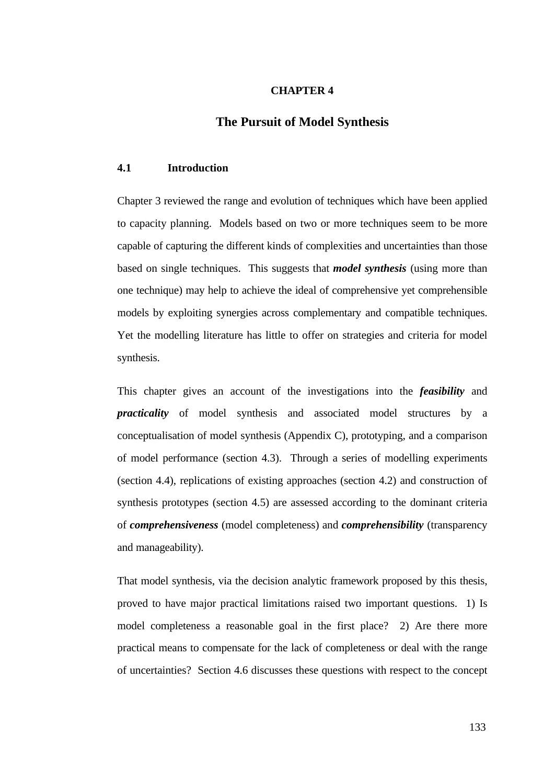### **CHAPTER 4**

# **The Pursuit of Model Synthesis**

### **4.1 Introduction**

Chapter 3 reviewed the range and evolution of techniques which have been applied to capacity planning. Models based on two or more techniques seem to be more capable of capturing the different kinds of complexities and uncertainties than those based on single techniques. This suggests that *model synthesis* (using more than one technique) may help to achieve the ideal of comprehensive yet comprehensible models by exploiting synergies across complementary and compatible techniques. Yet the modelling literature has little to offer on strategies and criteria for model synthesis.

This chapter gives an account of the investigations into the *feasibility* and *practicality* of model synthesis and associated model structures by a conceptualisation of model synthesis (Appendix C), prototyping, and a comparison of model performance (section 4.3). Through a series of modelling experiments (section 4.4), replications of existing approaches (section 4.2) and construction of synthesis prototypes (section 4.5) are assessed according to the dominant criteria of *comprehensiveness* (model completeness) and *comprehensibility* (transparency and manageability).

That model synthesis, via the decision analytic framework proposed by this thesis, proved to have major practical limitations raised two important questions. 1) Is model completeness a reasonable goal in the first place? 2) Are there more practical means to compensate for the lack of completeness or deal with the range of uncertainties? Section 4.6 discusses these questions with respect to the concept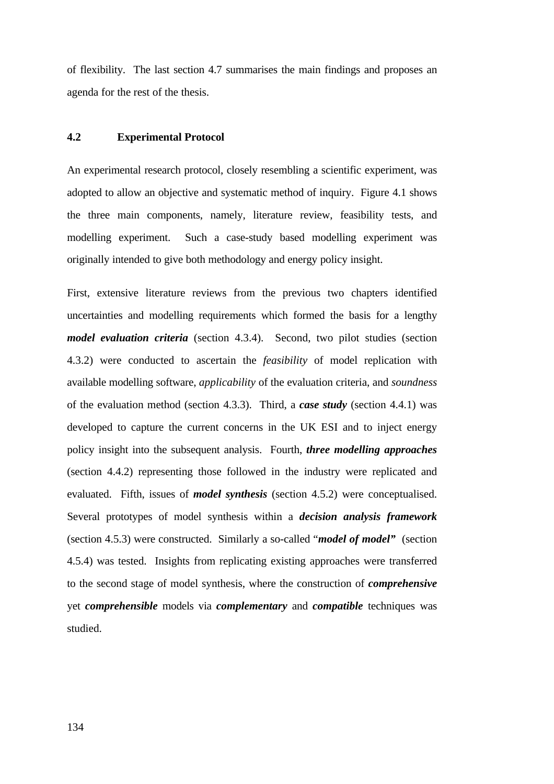of flexibility. The last section 4.7 summarises the main findings and proposes an agenda for the rest of the thesis.

### **4.2 Experimental Protocol**

An experimental research protocol, closely resembling a scientific experiment, was adopted to allow an objective and systematic method of inquiry. Figure 4.1 shows the three main components, namely, literature review, feasibility tests, and modelling experiment. Such a case-study based modelling experiment was originally intended to give both methodology and energy policy insight.

First, extensive literature reviews from the previous two chapters identified uncertainties and modelling requirements which formed the basis for a lengthy *model evaluation criteria* (section 4.3.4). Second, two pilot studies (section 4.3.2) were conducted to ascertain the *feasibility* of model replication with available modelling software, *applicability* of the evaluation criteria, and *soundness* of the evaluation method (section 4.3.3). Third, a *case study* (section 4.4.1) was developed to capture the current concerns in the UK ESI and to inject energy policy insight into the subsequent analysis. Fourth, *three modelling approaches* (section 4.4.2) representing those followed in the industry were replicated and evaluated. Fifth, issues of *model synthesis* (section 4.5.2) were conceptualised. Several prototypes of model synthesis within a *decision analysis framework* (section 4.5.3) were constructed. Similarly a so-called "*model of model"* (section 4.5.4) was tested. Insights from replicating existing approaches were transferred to the second stage of model synthesis, where the construction of *comprehensive* yet *comprehensible* models via *complementary* and *compatible* techniques was studied.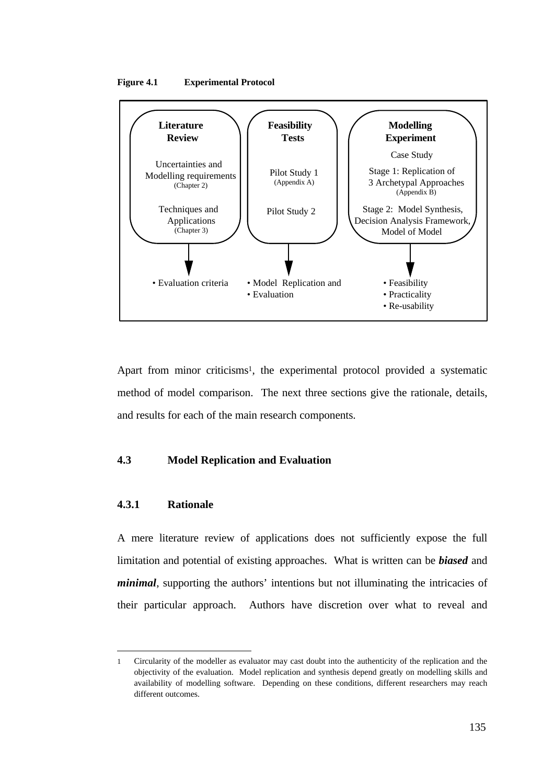



Apart from minor criticisms<sup>1</sup>, the experimental protocol provided a systematic method of model comparison. The next three sections give the rationale, details, and results for each of the main research components.

### **4.3 Model Replication and Evaluation**

## **4.3.1 Rationale**

 $\overline{a}$ 

A mere literature review of applications does not sufficiently expose the full limitation and potential of existing approaches. What is written can be *biased* and *minimal*, supporting the authors' intentions but not illuminating the intricacies of their particular approach. Authors have discretion over what to reveal and

<sup>1</sup> Circularity of the modeller as evaluator may cast doubt into the authenticity of the replication and the objectivity of the evaluation. Model replication and synthesis depend greatly on modelling skills and availability of modelling software. Depending on these conditions, different researchers may reach different outcomes.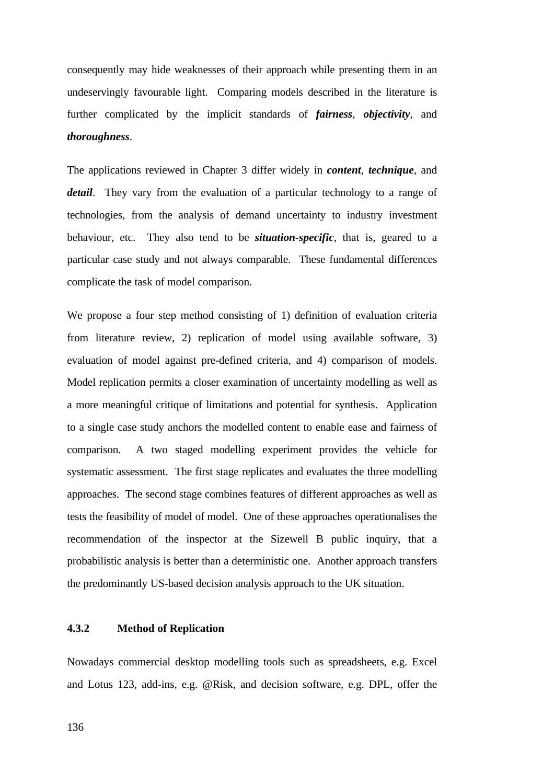consequently may hide weaknesses of their approach while presenting them in an undeservingly favourable light. Comparing models described in the literature is further complicated by the implicit standards of *fairness*, *objectivity*, and *thoroughness*.

The applications reviewed in Chapter 3 differ widely in *content*, *technique*, and *detail*. They vary from the evaluation of a particular technology to a range of technologies, from the analysis of demand uncertainty to industry investment behaviour, etc. They also tend to be *situation-specific*, that is, geared to a particular case study and not always comparable. These fundamental differences complicate the task of model comparison.

We propose a four step method consisting of 1) definition of evaluation criteria from literature review, 2) replication of model using available software, 3) evaluation of model against pre-defined criteria, and 4) comparison of models. Model replication permits a closer examination of uncertainty modelling as well as a more meaningful critique of limitations and potential for synthesis. Application to a single case study anchors the modelled content to enable ease and fairness of comparison. A two staged modelling experiment provides the vehicle for systematic assessment. The first stage replicates and evaluates the three modelling approaches. The second stage combines features of different approaches as well as tests the feasibility of model of model. One of these approaches operationalises the recommendation of the inspector at the Sizewell B public inquiry, that a probabilistic analysis is better than a deterministic one. Another approach transfers the predominantly US-based decision analysis approach to the UK situation.

## **4.3.2 Method of Replication**

Nowadays commercial desktop modelling tools such as spreadsheets, e.g. Excel and Lotus 123, add-ins, e.g. @Risk, and decision software, e.g. DPL, offer the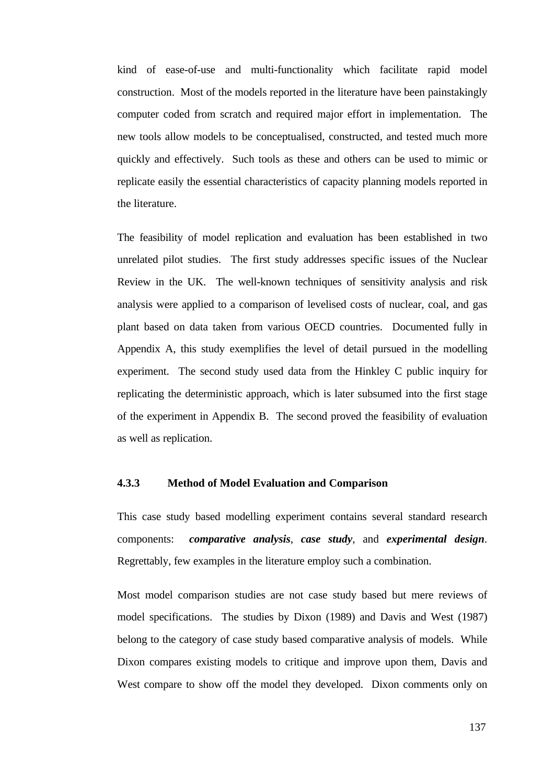kind of ease-of-use and multi-functionality which facilitate rapid model construction. Most of the models reported in the literature have been painstakingly computer coded from scratch and required major effort in implementation. The new tools allow models to be conceptualised, constructed, and tested much more quickly and effectively. Such tools as these and others can be used to mimic or replicate easily the essential characteristics of capacity planning models reported in the literature.

The feasibility of model replication and evaluation has been established in two unrelated pilot studies. The first study addresses specific issues of the Nuclear Review in the UK. The well-known techniques of sensitivity analysis and risk analysis were applied to a comparison of levelised costs of nuclear, coal, and gas plant based on data taken from various OECD countries. Documented fully in Appendix A, this study exemplifies the level of detail pursued in the modelling experiment. The second study used data from the Hinkley C public inquiry for replicating the deterministic approach, which is later subsumed into the first stage of the experiment in Appendix B. The second proved the feasibility of evaluation as well as replication.

### **4.3.3 Method of Model Evaluation and Comparison**

This case study based modelling experiment contains several standard research components: *comparative analysis*, *case study*, and *experimental design*. Regrettably, few examples in the literature employ such a combination.

Most model comparison studies are not case study based but mere reviews of model specifications. The studies by Dixon (1989) and Davis and West (1987) belong to the category of case study based comparative analysis of models. While Dixon compares existing models to critique and improve upon them, Davis and West compare to show off the model they developed. Dixon comments only on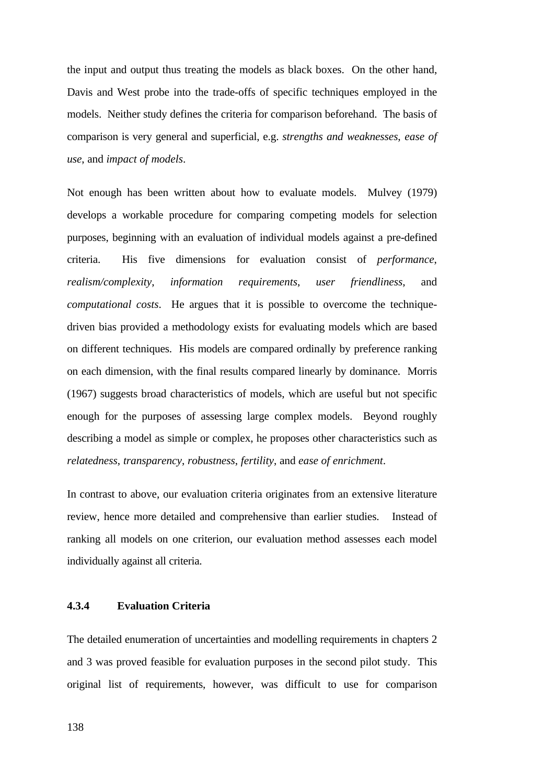the input and output thus treating the models as black boxes. On the other hand, Davis and West probe into the trade-offs of specific techniques employed in the models. Neither study defines the criteria for comparison beforehand. The basis of comparison is very general and superficial, e.g. *strengths and weaknesses*, *ease of use*, and *impact of models*.

Not enough has been written about how to evaluate models. Mulvey (1979) develops a workable procedure for comparing competing models for selection purposes, beginning with an evaluation of individual models against a pre-defined criteria. His five dimensions for evaluation consist of *performance*, *realism/complexity*, *information requirements*, *user friendliness*, and *computational costs*. He argues that it is possible to overcome the techniquedriven bias provided a methodology exists for evaluating models which are based on different techniques. His models are compared ordinally by preference ranking on each dimension, with the final results compared linearly by dominance. Morris (1967) suggests broad characteristics of models, which are useful but not specific enough for the purposes of assessing large complex models. Beyond roughly describing a model as simple or complex, he proposes other characteristics such as *relatedness*, *transparency*, *robustness*, *fertility*, and *ease of enrichment*.

In contrast to above, our evaluation criteria originates from an extensive literature review, hence more detailed and comprehensive than earlier studies. Instead of ranking all models on one criterion, our evaluation method assesses each model individually against all criteria.

## **4.3.4 Evaluation Criteria**

The detailed enumeration of uncertainties and modelling requirements in chapters 2 and 3 was proved feasible for evaluation purposes in the second pilot study. This original list of requirements, however, was difficult to use for comparison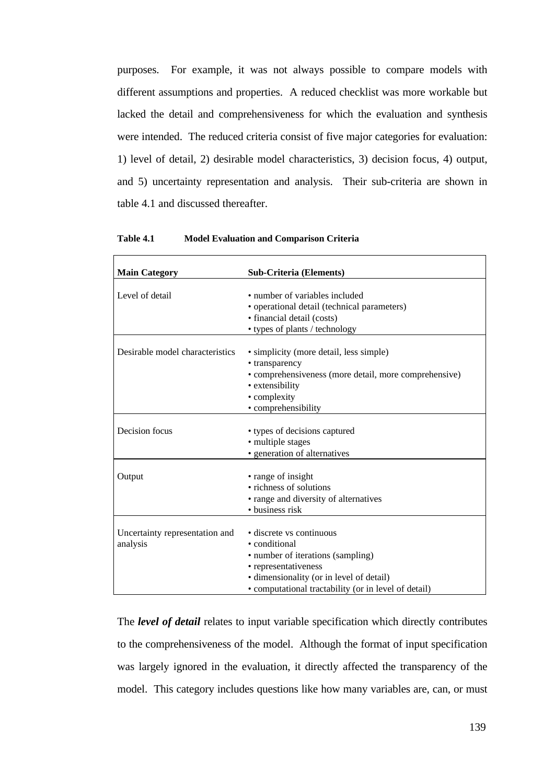purposes. For example, it was not always possible to compare models with different assumptions and properties. A reduced checklist was more workable but lacked the detail and comprehensiveness for which the evaluation and synthesis were intended. The reduced criteria consist of five major categories for evaluation: 1) level of detail, 2) desirable model characteristics, 3) decision focus, 4) output, and 5) uncertainty representation and analysis. Their sub-criteria are shown in table 4.1 and discussed thereafter.

| Table 4.1 | <b>Model Evaluation and Comparison Criteria</b> |  |  |  |
|-----------|-------------------------------------------------|--|--|--|
|-----------|-------------------------------------------------|--|--|--|

| <b>Main Category</b>                       | <b>Sub-Criteria (Elements)</b>                                                                                                                                                                             |
|--------------------------------------------|------------------------------------------------------------------------------------------------------------------------------------------------------------------------------------------------------------|
| Level of detail                            | • number of variables included<br>• operational detail (technical parameters)<br>· financial detail (costs)<br>• types of plants / technology                                                              |
| Desirable model characteristics            | • simplicity (more detail, less simple)<br>• transparency<br>• comprehensiveness (more detail, more comprehensive)<br>• extensibility<br>• complexity<br>• comprehensibility                               |
| Decision focus                             | • types of decisions captured<br>· multiple stages<br>• generation of alternatives                                                                                                                         |
| Output                                     | • range of insight<br>• richness of solutions<br>• range and diversity of alternatives<br>• business risk                                                                                                  |
| Uncertainty representation and<br>analysis | • discrete vs continuous<br>• conditional<br>• number of iterations (sampling)<br>• representativeness<br>· dimensionality (or in level of detail)<br>• computational tractability (or in level of detail) |

The *level of detail* relates to input variable specification which directly contributes to the comprehensiveness of the model. Although the format of input specification was largely ignored in the evaluation, it directly affected the transparency of the model. This category includes questions like how many variables are, can, or must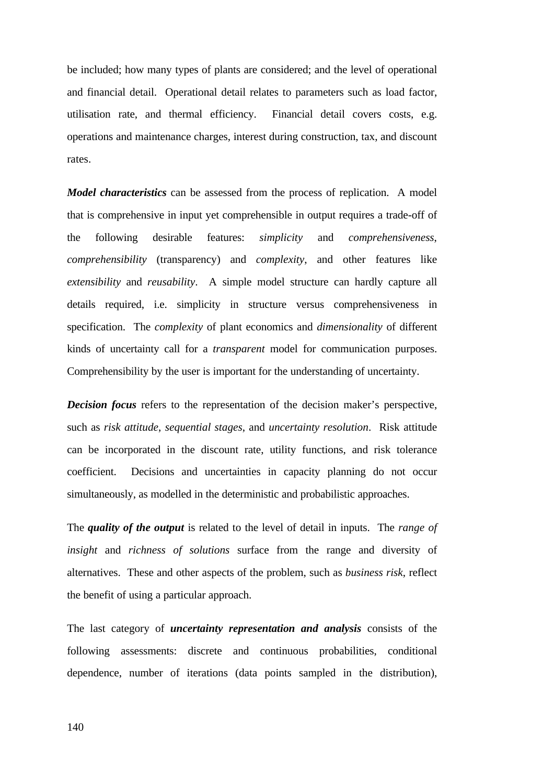be included; how many types of plants are considered; and the level of operational and financial detail. Operational detail relates to parameters such as load factor, utilisation rate, and thermal efficiency. Financial detail covers costs, e.g. operations and maintenance charges, interest during construction, tax, and discount rates.

*Model characteristics* can be assessed from the process of replication. A model that is comprehensive in input yet comprehensible in output requires a trade-off of the following desirable features: *simplicity* and *comprehensiveness*, *comprehensibility* (transparency) and *complexity*, and other features like *extensibility* and *reusability*. A simple model structure can hardly capture all details required, i.e. simplicity in structure versus comprehensiveness in specification. The *complexity* of plant economics and *dimensionality* of different kinds of uncertainty call for a *transparent* model for communication purposes. Comprehensibility by the user is important for the understanding of uncertainty.

*Decision focus* refers to the representation of the decision maker's perspective, such as *risk attitude*, *sequential stages*, and *uncertainty resolution*. Risk attitude can be incorporated in the discount rate, utility functions, and risk tolerance coefficient. Decisions and uncertainties in capacity planning do not occur simultaneously, as modelled in the deterministic and probabilistic approaches.

The *quality of the output* is related to the level of detail in inputs. The *range of insight* and *richness of solutions* surface from the range and diversity of alternatives. These and other aspects of the problem, such as *business risk*, reflect the benefit of using a particular approach.

The last category of *uncertainty representation and analysis* consists of the following assessments: discrete and continuous probabilities, conditional dependence, number of iterations (data points sampled in the distribution),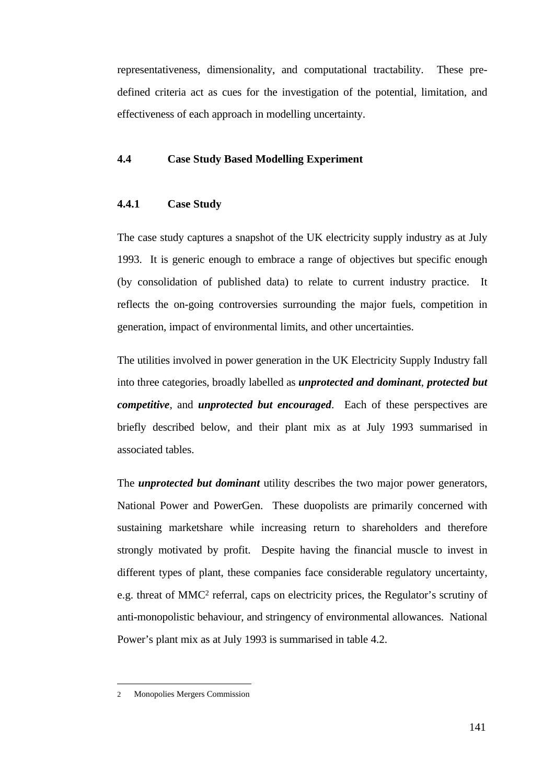representativeness, dimensionality, and computational tractability. These predefined criteria act as cues for the investigation of the potential, limitation, and effectiveness of each approach in modelling uncertainty.

## **4.4 Case Study Based Modelling Experiment**

#### **4.4.1 Case Study**

The case study captures a snapshot of the UK electricity supply industry as at July 1993. It is generic enough to embrace a range of objectives but specific enough (by consolidation of published data) to relate to current industry practice. It reflects the on-going controversies surrounding the major fuels, competition in generation, impact of environmental limits, and other uncertainties.

The utilities involved in power generation in the UK Electricity Supply Industry fall into three categories, broadly labelled as *unprotected and dominant*, *protected but competitive*, and *unprotected but encouraged*. Each of these perspectives are briefly described below, and their plant mix as at July 1993 summarised in associated tables.

The *unprotected but dominant* utility describes the two major power generators, National Power and PowerGen. These duopolists are primarily concerned with sustaining marketshare while increasing return to shareholders and therefore strongly motivated by profit. Despite having the financial muscle to invest in different types of plant, these companies face considerable regulatory uncertainty, e.g. threat of MMC<sup>2</sup> referral, caps on electricity prices, the Regulator's scrutiny of anti-monopolistic behaviour, and stringency of environmental allowances. National Power's plant mix as at July 1993 is summarised in table 4.2.

 $\overline{a}$ 

<sup>2</sup> Monopolies Mergers Commission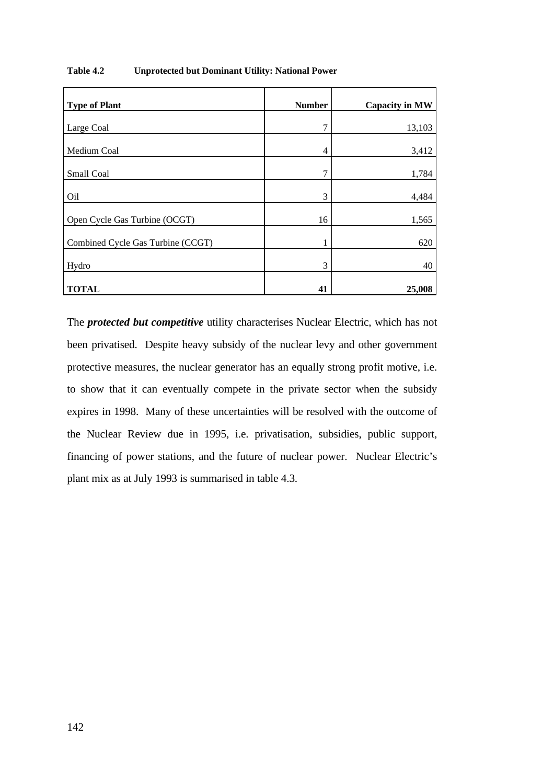| <b>Type of Plant</b>              | <b>Number</b> | <b>Capacity in MW</b> |
|-----------------------------------|---------------|-----------------------|
| Large Coal                        | 7             | 13,103                |
| Medium Coal                       | 4             | 3,412                 |
| Small Coal                        | 7             | 1,784                 |
| Oil                               | 3             | 4,484                 |
| Open Cycle Gas Turbine (OCGT)     | 16            | 1,565                 |
| Combined Cycle Gas Turbine (CCGT) | 1             | 620                   |
| Hydro                             | 3             | 40                    |
| <b>TOTAL</b>                      | 41            | 25,008                |

## **Table 4.2 Unprotected but Dominant Utility: National Power**

The *protected but competitive* utility characterises Nuclear Electric, which has not been privatised. Despite heavy subsidy of the nuclear levy and other government protective measures, the nuclear generator has an equally strong profit motive, i.e. to show that it can eventually compete in the private sector when the subsidy expires in 1998. Many of these uncertainties will be resolved with the outcome of the Nuclear Review due in 1995, i.e. privatisation, subsidies, public support, financing of power stations, and the future of nuclear power. Nuclear Electric's plant mix as at July 1993 is summarised in table 4.3.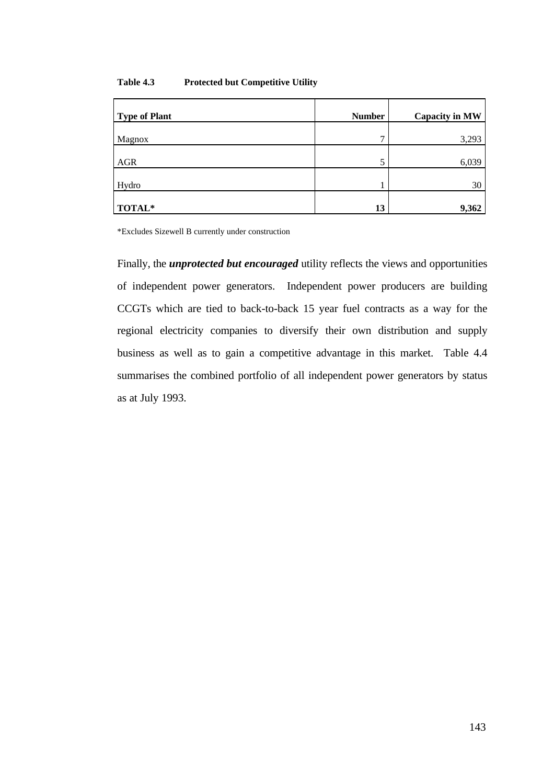| Table 4.3 | <b>Protected but Competitive Utility</b> |  |  |
|-----------|------------------------------------------|--|--|
|-----------|------------------------------------------|--|--|

| <b>Type of Plant</b> | <b>Number</b> | <b>Capacity in MW</b> |
|----------------------|---------------|-----------------------|
| Magnox               | 7             | 3,293                 |
| <b>AGR</b>           | 5             | 6,039                 |
| Hydro                |               | 30                    |
| TOTAL*               | 13            | 9,362                 |

\*Excludes Sizewell B currently under construction

Finally, the *unprotected but encouraged* utility reflects the views and opportunities of independent power generators. Independent power producers are building CCGTs which are tied to back-to-back 15 year fuel contracts as a way for the regional electricity companies to diversify their own distribution and supply business as well as to gain a competitive advantage in this market. Table 4.4 summarises the combined portfolio of all independent power generators by status as at July 1993.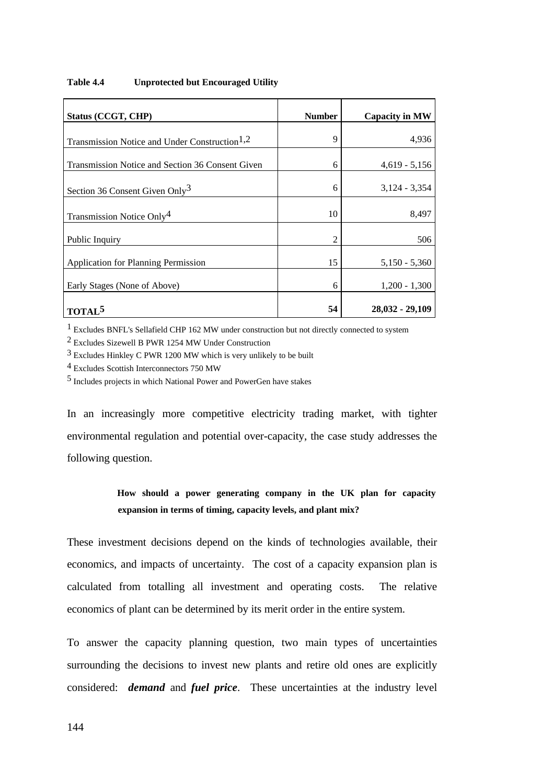| Status (CCGT, CHP)                                        | <b>Number</b> | <b>Capacity in MW</b> |
|-----------------------------------------------------------|---------------|-----------------------|
|                                                           |               |                       |
| Transmission Notice and Under Construction <sup>1,2</sup> | 9             | 4,936                 |
| Transmission Notice and Section 36 Consent Given          | 6             | $4,619 - 5,156$       |
| Section 36 Consent Given Only <sup>3</sup>                | 6             | $3,124 - 3,354$       |
| Transmission Notice Only <sup>4</sup>                     | 10            | 8,497                 |
| Public Inquiry                                            | 2             | 506                   |
| <b>Application for Planning Permission</b>                | 15            | $5,150 - 5,360$       |
| Early Stages (None of Above)                              | 6             | $1,200 - 1,300$       |
| <b>TOTAL</b>                                              | 54            | $28,032 - 29,109$     |

### **Table 4.4 Unprotected but Encouraged Utility**

1 Excludes BNFL's Sellafield CHP 162 MW under construction but not directly connected to system

2 Excludes Sizewell B PWR 1254 MW Under Construction

3 Excludes Hinkley C PWR 1200 MW which is very unlikely to be built

4 Excludes Scottish Interconnectors 750 MW

5 Includes projects in which National Power and PowerGen have stakes

In an increasingly more competitive electricity trading market, with tighter environmental regulation and potential over-capacity, the case study addresses the following question.

# **How should a power generating company in the UK plan for capacity expansion in terms of timing, capacity levels, and plant mix?**

These investment decisions depend on the kinds of technologies available, their economics, and impacts of uncertainty. The cost of a capacity expansion plan is calculated from totalling all investment and operating costs. The relative economics of plant can be determined by its merit order in the entire system.

To answer the capacity planning question, two main types of uncertainties surrounding the decisions to invest new plants and retire old ones are explicitly considered: *demand* and *fuel price*. These uncertainties at the industry level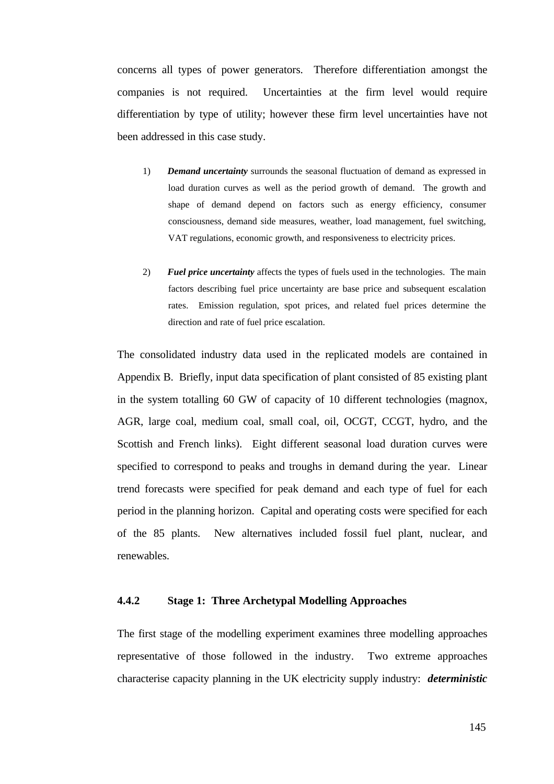concerns all types of power generators. Therefore differentiation amongst the companies is not required. Uncertainties at the firm level would require differentiation by type of utility; however these firm level uncertainties have not been addressed in this case study.

- 1) *Demand uncertainty* surrounds the seasonal fluctuation of demand as expressed in load duration curves as well as the period growth of demand. The growth and shape of demand depend on factors such as energy efficiency, consumer consciousness, demand side measures, weather, load management, fuel switching, VAT regulations, economic growth, and responsiveness to electricity prices.
- 2) *Fuel price uncertainty* affects the types of fuels used in the technologies. The main factors describing fuel price uncertainty are base price and subsequent escalation rates. Emission regulation, spot prices, and related fuel prices determine the direction and rate of fuel price escalation.

The consolidated industry data used in the replicated models are contained in Appendix B. Briefly, input data specification of plant consisted of 85 existing plant in the system totalling 60 GW of capacity of 10 different technologies (magnox, AGR, large coal, medium coal, small coal, oil, OCGT, CCGT, hydro, and the Scottish and French links). Eight different seasonal load duration curves were specified to correspond to peaks and troughs in demand during the year. Linear trend forecasts were specified for peak demand and each type of fuel for each period in the planning horizon. Capital and operating costs were specified for each of the 85 plants. New alternatives included fossil fuel plant, nuclear, and renewables.

## **4.4.2 Stage 1: Three Archetypal Modelling Approaches**

The first stage of the modelling experiment examines three modelling approaches representative of those followed in the industry. Two extreme approaches characterise capacity planning in the UK electricity supply industry: *deterministic*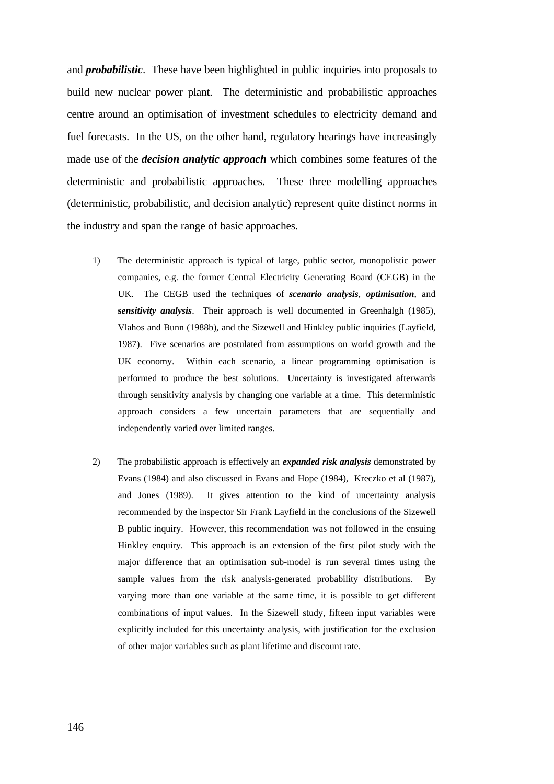and *probabilistic*. These have been highlighted in public inquiries into proposals to build new nuclear power plant. The deterministic and probabilistic approaches centre around an optimisation of investment schedules to electricity demand and fuel forecasts. In the US, on the other hand, regulatory hearings have increasingly made use of the *decision analytic approach* which combines some features of the deterministic and probabilistic approaches. These three modelling approaches (deterministic, probabilistic, and decision analytic) represent quite distinct norms in the industry and span the range of basic approaches.

- 1) The deterministic approach is typical of large, public sector, monopolistic power companies, e.g. the former Central Electricity Generating Board (CEGB) in the UK. The CEGB used the techniques of *scenario analysis*, *optimisation*, and **s***ensitivity analysis*. Their approach is well documented in Greenhalgh (1985), Vlahos and Bunn (1988b), and the Sizewell and Hinkley public inquiries (Layfield, 1987). Five scenarios are postulated from assumptions on world growth and the UK economy. Within each scenario, a linear programming optimisation is performed to produce the best solutions. Uncertainty is investigated afterwards through sensitivity analysis by changing one variable at a time. This deterministic approach considers a few uncertain parameters that are sequentially and independently varied over limited ranges.
- 2) The probabilistic approach is effectively an *expanded risk analysis* demonstrated by Evans (1984) and also discussed in Evans and Hope (1984), Kreczko et al (1987), and Jones (1989). It gives attention to the kind of uncertainty analysis recommended by the inspector Sir Frank Layfield in the conclusions of the Sizewell B public inquiry. However, this recommendation was not followed in the ensuing Hinkley enquiry. This approach is an extension of the first pilot study with the major difference that an optimisation sub-model is run several times using the sample values from the risk analysis-generated probability distributions. By varying more than one variable at the same time, it is possible to get different combinations of input values. In the Sizewell study, fifteen input variables were explicitly included for this uncertainty analysis, with justification for the exclusion of other major variables such as plant lifetime and discount rate.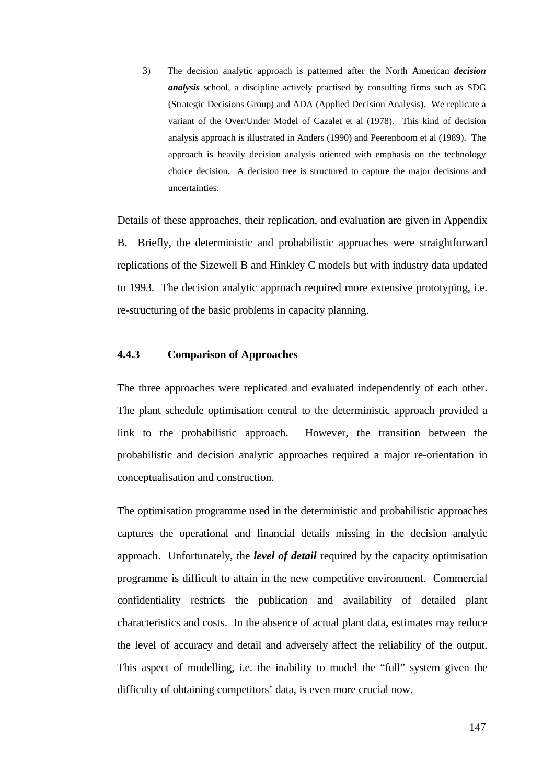3) The decision analytic approach is patterned after the North American *decision analysis* school, a discipline actively practised by consulting firms such as SDG (Strategic Decisions Group) and ADA (Applied Decision Analysis). We replicate a variant of the Over/Under Model of Cazalet et al (1978). This kind of decision analysis approach is illustrated in Anders (1990) and Peerenboom et al (1989). The approach is heavily decision analysis oriented with emphasis on the technology choice decision. A decision tree is structured to capture the major decisions and uncertainties.

Details of these approaches, their replication, and evaluation are given in Appendix B. Briefly, the deterministic and probabilistic approaches were straightforward replications of the Sizewell B and Hinkley C models but with industry data updated to 1993. The decision analytic approach required more extensive prototyping, i.e. re-structuring of the basic problems in capacity planning.

## **4.4.3 Comparison of Approaches**

The three approaches were replicated and evaluated independently of each other. The plant schedule optimisation central to the deterministic approach provided a link to the probabilistic approach. However, the transition between the probabilistic and decision analytic approaches required a major re-orientation in conceptualisation and construction.

The optimisation programme used in the deterministic and probabilistic approaches captures the operational and financial details missing in the decision analytic approach. Unfortunately, the *level of detail* required by the capacity optimisation programme is difficult to attain in the new competitive environment. Commercial confidentiality restricts the publication and availability of detailed plant characteristics and costs. In the absence of actual plant data, estimates may reduce the level of accuracy and detail and adversely affect the reliability of the output. This aspect of modelling, i.e. the inability to model the "full" system given the difficulty of obtaining competitors' data, is even more crucial now.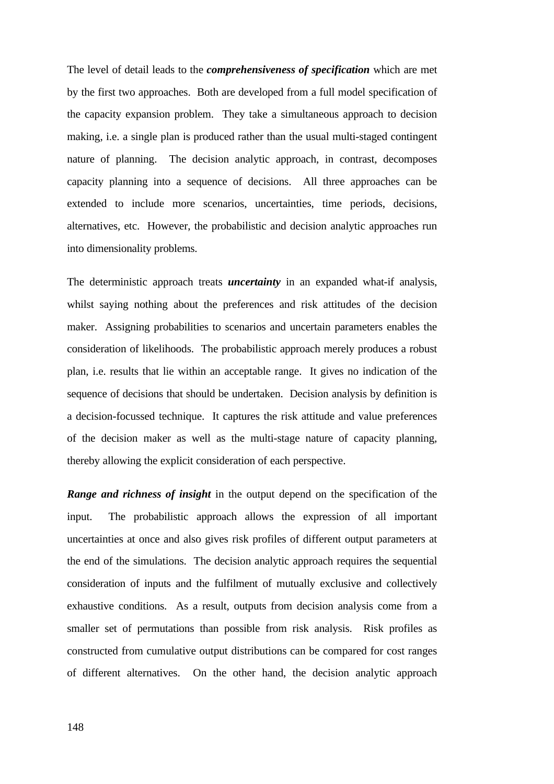The level of detail leads to the *comprehensiveness of specification* which are met by the first two approaches. Both are developed from a full model specification of the capacity expansion problem. They take a simultaneous approach to decision making, i.e. a single plan is produced rather than the usual multi-staged contingent nature of planning. The decision analytic approach, in contrast, decomposes capacity planning into a sequence of decisions. All three approaches can be extended to include more scenarios, uncertainties, time periods, decisions, alternatives, etc. However, the probabilistic and decision analytic approaches run into dimensionality problems.

The deterministic approach treats *uncertainty* in an expanded what-if analysis, whilst saying nothing about the preferences and risk attitudes of the decision maker. Assigning probabilities to scenarios and uncertain parameters enables the consideration of likelihoods. The probabilistic approach merely produces a robust plan, i.e. results that lie within an acceptable range. It gives no indication of the sequence of decisions that should be undertaken. Decision analysis by definition is a decision-focussed technique. It captures the risk attitude and value preferences of the decision maker as well as the multi-stage nature of capacity planning, thereby allowing the explicit consideration of each perspective.

*Range and richness of insight* in the output depend on the specification of the input. The probabilistic approach allows the expression of all important uncertainties at once and also gives risk profiles of different output parameters at the end of the simulations. The decision analytic approach requires the sequential consideration of inputs and the fulfilment of mutually exclusive and collectively exhaustive conditions. As a result, outputs from decision analysis come from a smaller set of permutations than possible from risk analysis. Risk profiles as constructed from cumulative output distributions can be compared for cost ranges of different alternatives. On the other hand, the decision analytic approach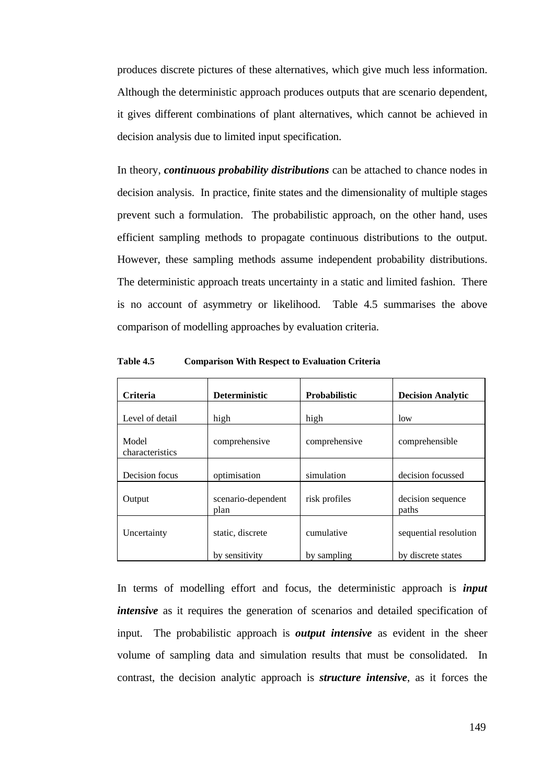produces discrete pictures of these alternatives, which give much less information. Although the deterministic approach produces outputs that are scenario dependent, it gives different combinations of plant alternatives, which cannot be achieved in decision analysis due to limited input specification.

In theory, *continuous probability distributions* can be attached to chance nodes in decision analysis. In practice, finite states and the dimensionality of multiple stages prevent such a formulation. The probabilistic approach, on the other hand, uses efficient sampling methods to propagate continuous distributions to the output. However, these sampling methods assume independent probability distributions. The deterministic approach treats uncertainty in a static and limited fashion. There is no account of asymmetry or likelihood. Table 4.5 summarises the above comparison of modelling approaches by evaluation criteria.

| <b>Criteria</b>          | <b>Deterministic</b>       | Probabilistic | <b>Decision Analytic</b>   |
|--------------------------|----------------------------|---------------|----------------------------|
| Level of detail          | high                       | high          | low                        |
| Model<br>characteristics | comprehensive              | comprehensive | comprehensible             |
| Decision focus           | optimisation               | simulation    | decision focussed          |
| Output                   | scenario-dependent<br>plan | risk profiles | decision sequence<br>paths |
| Uncertainty              | static, discrete           | cumulative    | sequential resolution      |
|                          | by sensitivity             | by sampling   | by discrete states         |

**Table 4.5 Comparison With Respect to Evaluation Criteria**

In terms of modelling effort and focus, the deterministic approach is *input intensive* as it requires the generation of scenarios and detailed specification of input. The probabilistic approach is *output intensive* as evident in the sheer volume of sampling data and simulation results that must be consolidated. In contrast, the decision analytic approach is *structure intensive*, as it forces the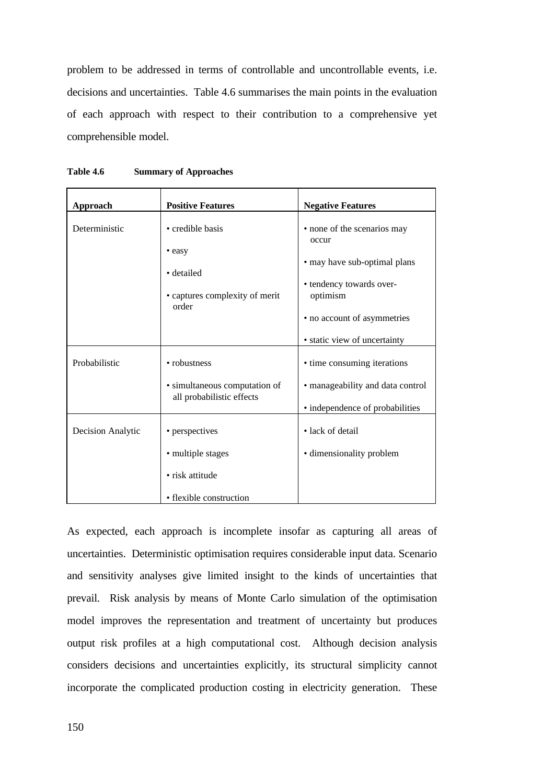problem to be addressed in terms of controllable and uncontrollable events, i.e. decisions and uncertainties. Table 4.6 summarises the main points in the evaluation of each approach with respect to their contribution to a comprehensive yet comprehensible model.

| Approach          | <b>Positive Features</b>                                   | <b>Negative Features</b>              |
|-------------------|------------------------------------------------------------|---------------------------------------|
| Deterministic     | • credible basis                                           | • none of the scenarios may           |
|                   | • easy                                                     | occur<br>• may have sub-optimal plans |
|                   | • detailed                                                 | • tendency towards over-              |
|                   | • captures complexity of merit<br>order                    | optimism                              |
|                   |                                                            | • no account of asymmetries           |
|                   |                                                            | • static view of uncertainty          |
| Probabilistic     | • robustness                                               | • time consuming iterations           |
|                   | • simultaneous computation of<br>all probabilistic effects | • manageability and data control      |
|                   |                                                            | • independence of probabilities       |
| Decision Analytic | • perspectives                                             | • lack of detail                      |
|                   | • multiple stages                                          | • dimensionality problem              |
|                   | · risk attitude                                            |                                       |
|                   | • flexible construction                                    |                                       |

| Table 4.6 | <b>Summary of Approaches</b> |
|-----------|------------------------------|
|-----------|------------------------------|

As expected, each approach is incomplete insofar as capturing all areas of uncertainties. Deterministic optimisation requires considerable input data. Scenario and sensitivity analyses give limited insight to the kinds of uncertainties that prevail. Risk analysis by means of Monte Carlo simulation of the optimisation model improves the representation and treatment of uncertainty but produces output risk profiles at a high computational cost. Although decision analysis considers decisions and uncertainties explicitly, its structural simplicity cannot incorporate the complicated production costing in electricity generation. These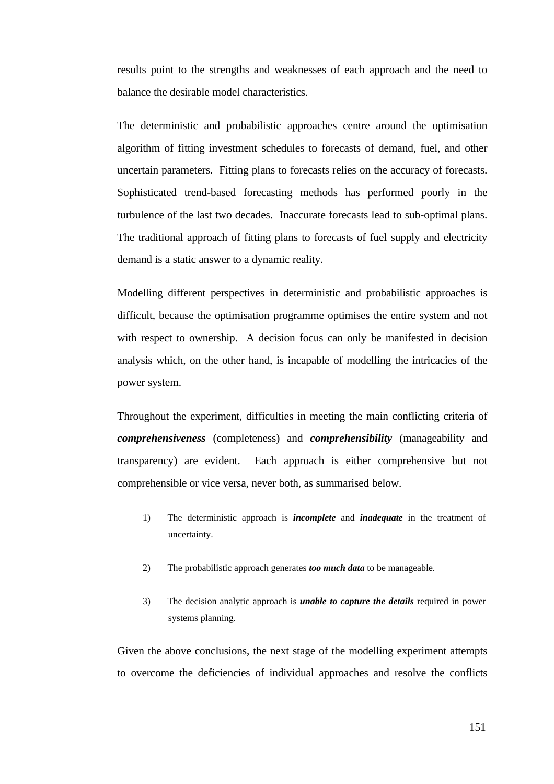results point to the strengths and weaknesses of each approach and the need to balance the desirable model characteristics.

The deterministic and probabilistic approaches centre around the optimisation algorithm of fitting investment schedules to forecasts of demand, fuel, and other uncertain parameters. Fitting plans to forecasts relies on the accuracy of forecasts. Sophisticated trend-based forecasting methods has performed poorly in the turbulence of the last two decades. Inaccurate forecasts lead to sub-optimal plans. The traditional approach of fitting plans to forecasts of fuel supply and electricity demand is a static answer to a dynamic reality.

Modelling different perspectives in deterministic and probabilistic approaches is difficult, because the optimisation programme optimises the entire system and not with respect to ownership. A decision focus can only be manifested in decision analysis which, on the other hand, is incapable of modelling the intricacies of the power system.

Throughout the experiment, difficulties in meeting the main conflicting criteria of *comprehensiveness* (completeness) and *comprehensibility* (manageability and transparency) are evident. Each approach is either comprehensive but not comprehensible or vice versa, never both, as summarised below.

- 1) The deterministic approach is *incomplete* and *inadequate* in the treatment of uncertainty.
- 2) The probabilistic approach generates *too much data* to be manageable.
- 3) The decision analytic approach is *unable to capture the details* required in power systems planning.

Given the above conclusions, the next stage of the modelling experiment attempts to overcome the deficiencies of individual approaches and resolve the conflicts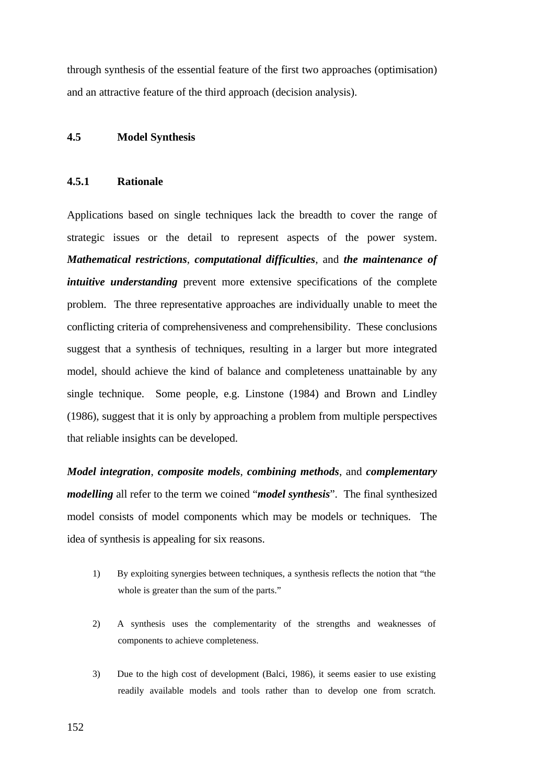through synthesis of the essential feature of the first two approaches (optimisation) and an attractive feature of the third approach (decision analysis).

### **4.5 Model Synthesis**

## **4.5.1 Rationale**

Applications based on single techniques lack the breadth to cover the range of strategic issues or the detail to represent aspects of the power system. *Mathematical restrictions*, *computational difficulties*, and *the maintenance of intuitive understanding* prevent more extensive specifications of the complete problem. The three representative approaches are individually unable to meet the conflicting criteria of comprehensiveness and comprehensibility. These conclusions suggest that a synthesis of techniques, resulting in a larger but more integrated model, should achieve the kind of balance and completeness unattainable by any single technique. Some people, e.g. Linstone (1984) and Brown and Lindley (1986), suggest that it is only by approaching a problem from multiple perspectives that reliable insights can be developed.

*Model integration*, *composite models*, *combining methods*, and *complementary modelling* all refer to the term we coined "*model synthesis*". The final synthesized model consists of model components which may be models or techniques. The idea of synthesis is appealing for six reasons.

- 1) By exploiting synergies between techniques, a synthesis reflects the notion that "the whole is greater than the sum of the parts."
- 2) A synthesis uses the complementarity of the strengths and weaknesses of components to achieve completeness.
- 3) Due to the high cost of development (Balci, 1986), it seems easier to use existing readily available models and tools rather than to develop one from scratch.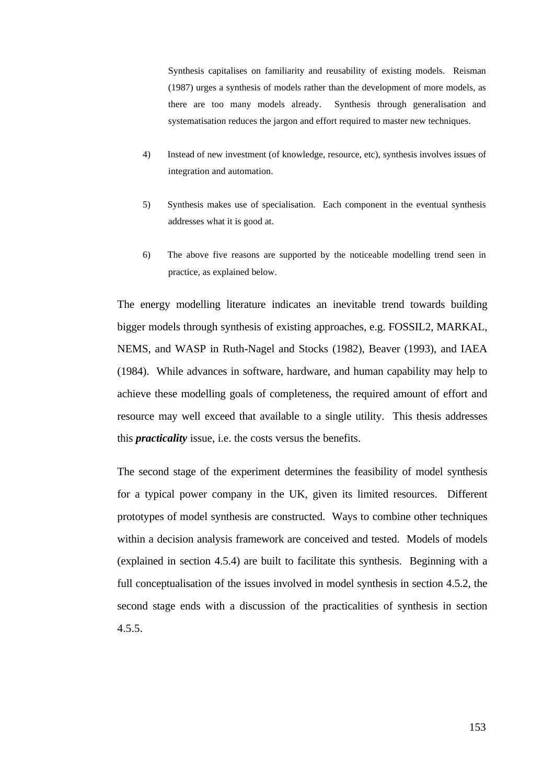Synthesis capitalises on familiarity and reusability of existing models. Reisman (1987) urges a synthesis of models rather than the development of more models, as there are too many models already. Synthesis through generalisation and systematisation reduces the jargon and effort required to master new techniques.

- 4) Instead of new investment (of knowledge, resource, etc), synthesis involves issues of integration and automation.
- 5) Synthesis makes use of specialisation. Each component in the eventual synthesis addresses what it is good at.
- 6) The above five reasons are supported by the noticeable modelling trend seen in practice, as explained below.

The energy modelling literature indicates an inevitable trend towards building bigger models through synthesis of existing approaches, e.g. FOSSIL2, MARKAL, NEMS, and WASP in Ruth-Nagel and Stocks (1982), Beaver (1993), and IAEA (1984). While advances in software, hardware, and human capability may help to achieve these modelling goals of completeness, the required amount of effort and resource may well exceed that available to a single utility. This thesis addresses this *practicality* issue, i.e. the costs versus the benefits.

The second stage of the experiment determines the feasibility of model synthesis for a typical power company in the UK, given its limited resources. Different prototypes of model synthesis are constructed. Ways to combine other techniques within a decision analysis framework are conceived and tested. Models of models (explained in section 4.5.4) are built to facilitate this synthesis. Beginning with a full conceptualisation of the issues involved in model synthesis in section 4.5.2, the second stage ends with a discussion of the practicalities of synthesis in section 4.5.5.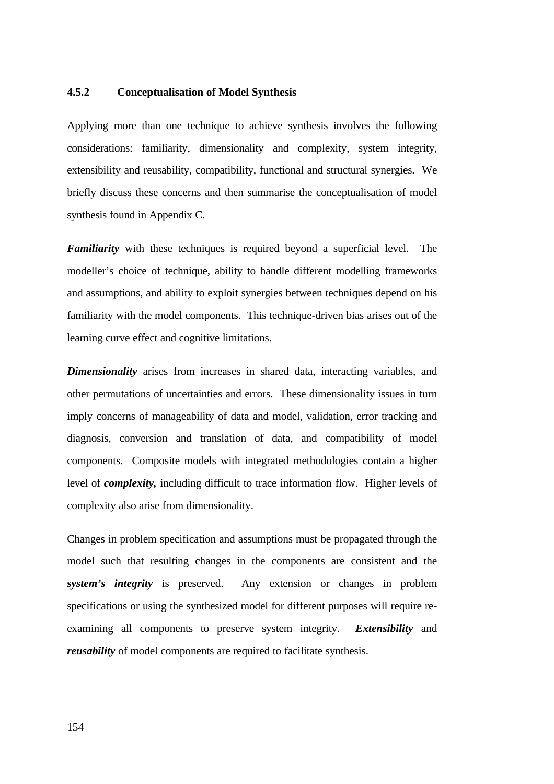## **4.5.2 Conceptualisation of Model Synthesis**

Applying more than one technique to achieve synthesis involves the following considerations: familiarity, dimensionality and complexity, system integrity, extensibility and reusability, compatibility, functional and structural synergies. We briefly discuss these concerns and then summarise the conceptualisation of model synthesis found in Appendix C.

*Familiarity* with these techniques is required beyond a superficial level. The modeller's choice of technique, ability to handle different modelling frameworks and assumptions, and ability to exploit synergies between techniques depend on his familiarity with the model components. This technique-driven bias arises out of the learning curve effect and cognitive limitations.

*Dimensionality* arises from increases in shared data, interacting variables, and other permutations of uncertainties and errors. These dimensionality issues in turn imply concerns of manageability of data and model, validation, error tracking and diagnosis, conversion and translation of data, and compatibility of model components. Composite models with integrated methodologies contain a higher level of *complexity,* including difficult to trace information flow. Higher levels of complexity also arise from dimensionality.

Changes in problem specification and assumptions must be propagated through the model such that resulting changes in the components are consistent and the *system's integrity* is preserved. Any extension or changes in problem specifications or using the synthesized model for different purposes will require reexamining all components to preserve system integrity. *Extensibility* and *reusability* of model components are required to facilitate synthesis.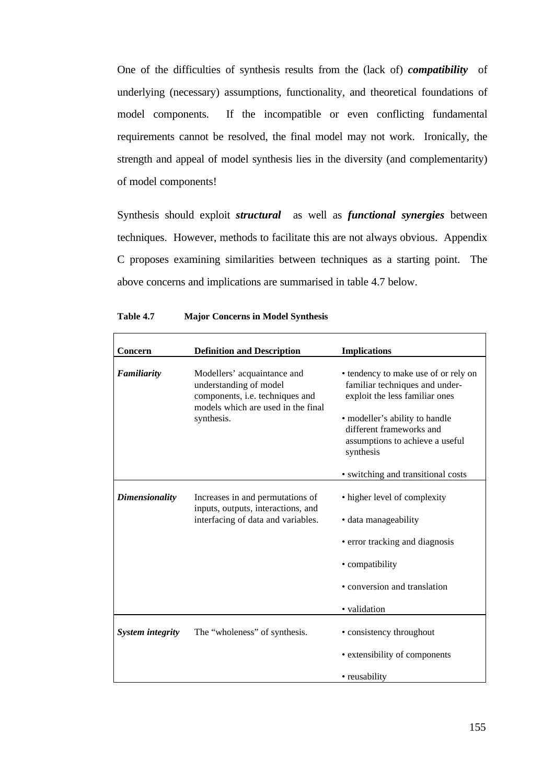One of the difficulties of synthesis results from the (lack of) *compatibility* of underlying (necessary) assumptions, functionality, and theoretical foundations of model components. If the incompatible or even conflicting fundamental requirements cannot be resolved, the final model may not work. Ironically, the strength and appeal of model synthesis lies in the diversity (and complementarity) of model components!

Synthesis should exploit *structural* as well as *functional synergies* between techniques. However, methods to facilitate this are not always obvious. Appendix C proposes examining similarities between techniques as a starting point. The above concerns and implications are summarised in table 4.7 below.

| Concern                 | <b>Definition and Description</b>                                                                                                            | <b>Implications</b>                                                                                                                                                                                                    |
|-------------------------|----------------------------------------------------------------------------------------------------------------------------------------------|------------------------------------------------------------------------------------------------------------------------------------------------------------------------------------------------------------------------|
| Familiarity             | Modellers' acquaintance and<br>understanding of model<br>components, i.e. techniques and<br>models which are used in the final<br>synthesis. | • tendency to make use of or rely on<br>familiar techniques and under-<br>exploit the less familiar ones<br>• modeller's ability to handle<br>different frameworks and<br>assumptions to achieve a useful<br>synthesis |
|                         |                                                                                                                                              | • switching and transitional costs                                                                                                                                                                                     |
| <b>Dimensionality</b>   | Increases in and permutations of<br>inputs, outputs, interactions, and<br>interfacing of data and variables.                                 | • higher level of complexity<br>· data manageability                                                                                                                                                                   |
|                         |                                                                                                                                              | • error tracking and diagnosis                                                                                                                                                                                         |
|                         |                                                                                                                                              | • compatibility                                                                                                                                                                                                        |
|                         |                                                                                                                                              | • conversion and translation                                                                                                                                                                                           |
|                         |                                                                                                                                              | • validation                                                                                                                                                                                                           |
| <b>System integrity</b> | The "wholeness" of synthesis.                                                                                                                | • consistency throughout                                                                                                                                                                                               |
|                         |                                                                                                                                              | • extensibility of components                                                                                                                                                                                          |
|                         |                                                                                                                                              | • reusability                                                                                                                                                                                                          |

| Table 4.7 |  |  |  | <b>Major Concerns in Model Synthesis</b> |
|-----------|--|--|--|------------------------------------------|
|-----------|--|--|--|------------------------------------------|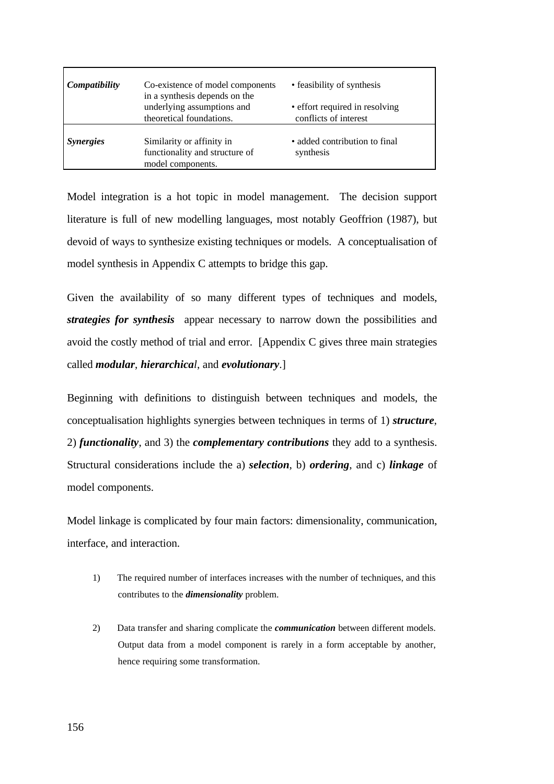| Compatibility    | Co-existence of model components<br>in a synthesis depends on the<br>underlying assumptions and<br>theoretical foundations. | • feasibility of synthesis<br>• effort required in resolving<br>conflicts of interest |
|------------------|-----------------------------------------------------------------------------------------------------------------------------|---------------------------------------------------------------------------------------|
| <b>Synergies</b> | Similarity or affinity in<br>functionality and structure of<br>model components.                                            | · added contribution to final<br>synthesis                                            |

Model integration is a hot topic in model management. The decision support literature is full of new modelling languages, most notably Geoffrion (1987), but devoid of ways to synthesize existing techniques or models. A conceptualisation of model synthesis in Appendix C attempts to bridge this gap.

Given the availability of so many different types of techniques and models, *strategies for synthesis* appear necessary to narrow down the possibilities and avoid the costly method of trial and error. [Appendix C gives three main strategies called *modular*, *hierarchical*, and *evolutionary*.]

Beginning with definitions to distinguish between techniques and models, the conceptualisation highlights synergies between techniques in terms of 1) *structure*, 2) *functionality*, and 3) the *complementary contributions* they add to a synthesis. Structural considerations include the a) *selection*, b) *ordering*, and c) *linkage* of model components.

Model linkage is complicated by four main factors: dimensionality, communication, interface, and interaction.

- 1) The required number of interfaces increases with the number of techniques, and this contributes to the *dimensionality* problem.
- 2) Data transfer and sharing complicate the *communication* between different models. Output data from a model component is rarely in a form acceptable by another, hence requiring some transformation.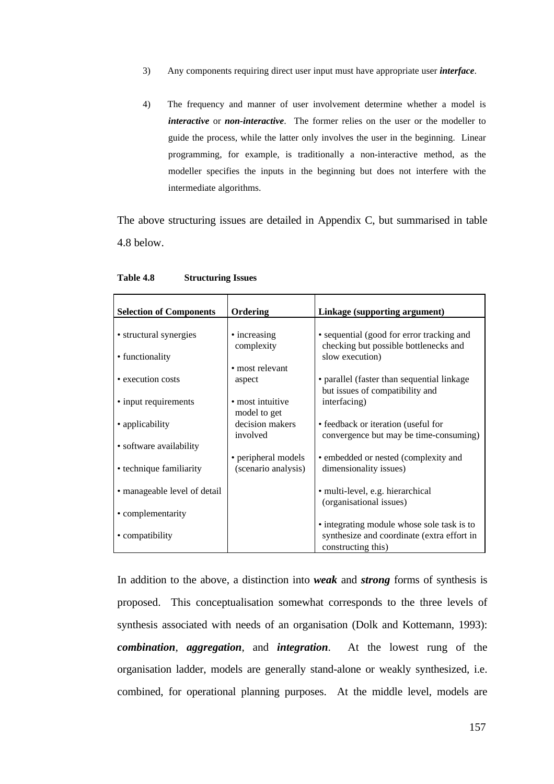- 3) Any components requiring direct user input must have appropriate user *interface*.
- 4) The frequency and manner of user involvement determine whether a model is *interactive* or *non-interactive*. The former relies on the user or the modeller to guide the process, while the latter only involves the user in the beginning. Linear programming, for example, is traditionally a non-interactive method, as the modeller specifies the inputs in the beginning but does not interfere with the intermediate algorithms.

The above structuring issues are detailed in Appendix C, but summarised in table 4.8 below.

| <b>Selection of Components</b> | Ordering                        | Linkage (supporting argument)                                                 |
|--------------------------------|---------------------------------|-------------------------------------------------------------------------------|
|                                |                                 |                                                                               |
| • structural synergies         | • increasing                    | • sequential (good for error tracking and                                     |
| • functionality                | complexity                      | checking but possible bottlenecks and<br>slow execution)                      |
|                                | • most relevant                 |                                                                               |
| • execution costs              | aspect                          | • parallel (faster than sequential linkage                                    |
|                                |                                 | but issues of compatibility and                                               |
| • input requirements           | • most intuitive                | interfacing)                                                                  |
|                                | model to get<br>decision makers |                                                                               |
| • applicability                | involved                        | • feedback or iteration (useful for<br>convergence but may be time-consuming) |
| • software availability        |                                 |                                                                               |
|                                | • peripheral models             | • embedded or nested (complexity and                                          |
| • technique familiarity        | (scenario analysis)             | dimensionality issues)                                                        |
|                                |                                 |                                                                               |
| • manageable level of detail   |                                 | • multi-level, e.g. hierarchical                                              |
|                                |                                 | (organisational issues)                                                       |
| • complementarity              |                                 | • integrating module whose sole task is to                                    |
| • compatibility                |                                 | synthesize and coordinate (extra effort in                                    |
|                                |                                 | constructing this)                                                            |

#### **Table 4.8 Structuring Issues**

In addition to the above, a distinction into *weak* and *strong* forms of synthesis is proposed. This conceptualisation somewhat corresponds to the three levels of synthesis associated with needs of an organisation (Dolk and Kottemann, 1993): *combination*, *aggregation*, and *integration*. At the lowest rung of the organisation ladder, models are generally stand-alone or weakly synthesized, i.e. combined, for operational planning purposes. At the middle level, models are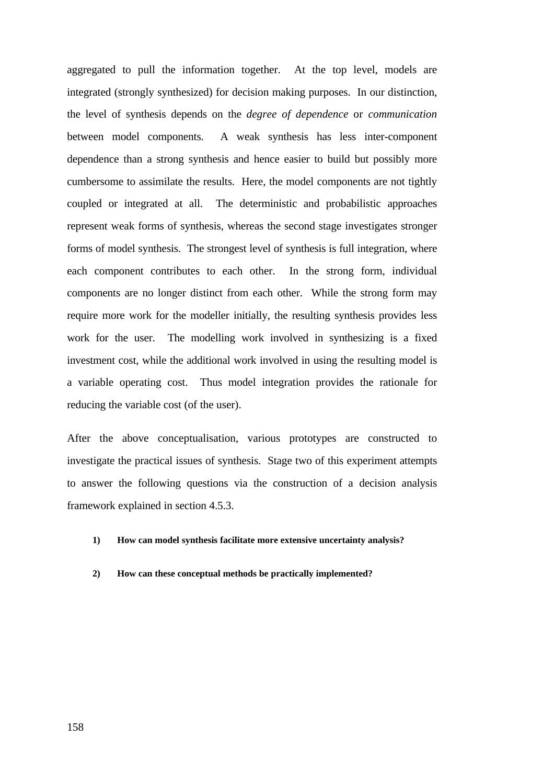aggregated to pull the information together. At the top level, models are integrated (strongly synthesized) for decision making purposes. In our distinction, the level of synthesis depends on the *degree of dependence* or *communication* between model components. A weak synthesis has less inter-component dependence than a strong synthesis and hence easier to build but possibly more cumbersome to assimilate the results. Here, the model components are not tightly coupled or integrated at all. The deterministic and probabilistic approaches represent weak forms of synthesis, whereas the second stage investigates stronger forms of model synthesis. The strongest level of synthesis is full integration, where each component contributes to each other. In the strong form, individual components are no longer distinct from each other. While the strong form may require more work for the modeller initially, the resulting synthesis provides less work for the user. The modelling work involved in synthesizing is a fixed investment cost, while the additional work involved in using the resulting model is a variable operating cost. Thus model integration provides the rationale for reducing the variable cost (of the user).

After the above conceptualisation, various prototypes are constructed to investigate the practical issues of synthesis. Stage two of this experiment attempts to answer the following questions via the construction of a decision analysis framework explained in section 4.5.3.

#### **1) How can model synthesis facilitate more extensive uncertainty analysis?**

#### **2) How can these conceptual methods be practically implemented?**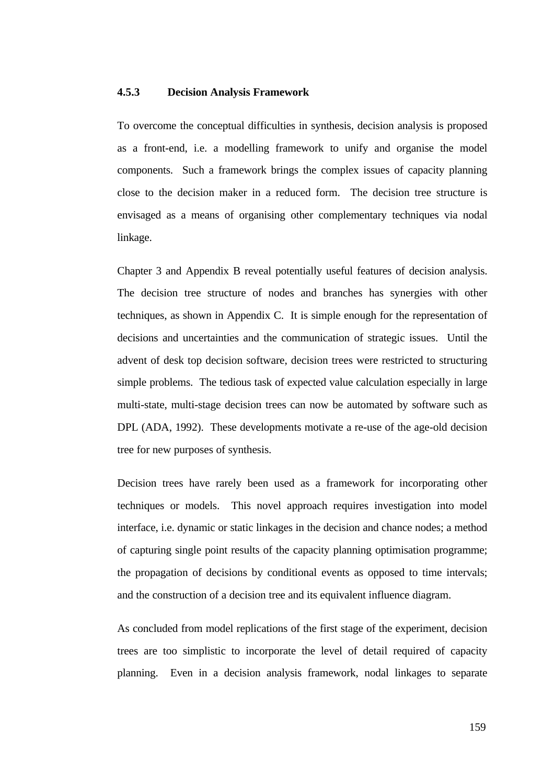### **4.5.3 Decision Analysis Framework**

To overcome the conceptual difficulties in synthesis, decision analysis is proposed as a front-end, i.e. a modelling framework to unify and organise the model components. Such a framework brings the complex issues of capacity planning close to the decision maker in a reduced form. The decision tree structure is envisaged as a means of organising other complementary techniques via nodal linkage.

Chapter 3 and Appendix B reveal potentially useful features of decision analysis. The decision tree structure of nodes and branches has synergies with other techniques, as shown in Appendix C. It is simple enough for the representation of decisions and uncertainties and the communication of strategic issues. Until the advent of desk top decision software, decision trees were restricted to structuring simple problems. The tedious task of expected value calculation especially in large multi-state, multi-stage decision trees can now be automated by software such as DPL (ADA, 1992). These developments motivate a re-use of the age-old decision tree for new purposes of synthesis.

Decision trees have rarely been used as a framework for incorporating other techniques or models. This novel approach requires investigation into model interface, i.e. dynamic or static linkages in the decision and chance nodes; a method of capturing single point results of the capacity planning optimisation programme; the propagation of decisions by conditional events as opposed to time intervals; and the construction of a decision tree and its equivalent influence diagram.

As concluded from model replications of the first stage of the experiment, decision trees are too simplistic to incorporate the level of detail required of capacity planning. Even in a decision analysis framework, nodal linkages to separate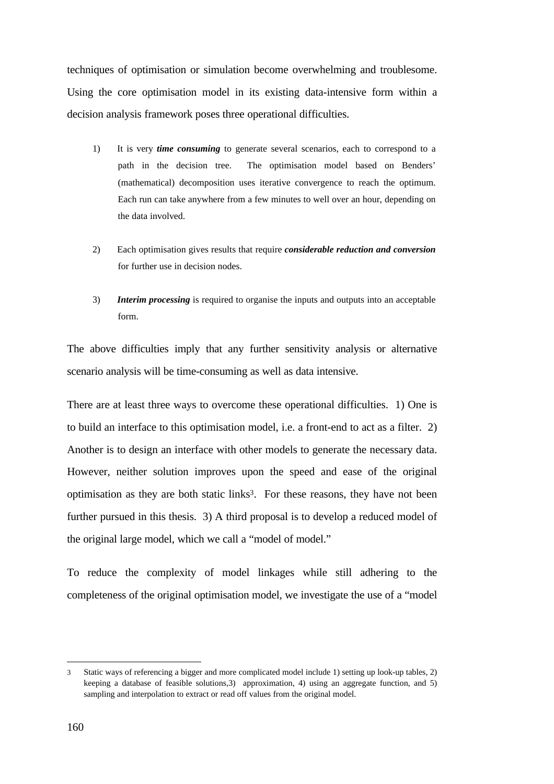techniques of optimisation or simulation become overwhelming and troublesome. Using the core optimisation model in its existing data-intensive form within a decision analysis framework poses three operational difficulties.

- 1) It is very *time consuming* to generate several scenarios, each to correspond to a path in the decision tree. The optimisation model based on Benders' (mathematical) decomposition uses iterative convergence to reach the optimum. Each run can take anywhere from a few minutes to well over an hour, depending on the data involved.
- 2) Each optimisation gives results that require *considerable reduction and conversion* for further use in decision nodes.
- 3) *Interim processing* is required to organise the inputs and outputs into an acceptable form.

The above difficulties imply that any further sensitivity analysis or alternative scenario analysis will be time-consuming as well as data intensive.

There are at least three ways to overcome these operational difficulties. 1) One is to build an interface to this optimisation model, i.e. a front-end to act as a filter. 2) Another is to design an interface with other models to generate the necessary data. However, neither solution improves upon the speed and ease of the original optimisation as they are both static links<sup>3</sup>. For these reasons, they have not been further pursued in this thesis. 3) A third proposal is to develop a reduced model of the original large model, which we call a "model of model."

To reduce the complexity of model linkages while still adhering to the completeness of the original optimisation model, we investigate the use of a "model

 $\overline{a}$ 

<sup>3</sup> Static ways of referencing a bigger and more complicated model include 1) setting up look-up tables, 2) keeping a database of feasible solutions,3) approximation, 4) using an aggregate function, and 5) sampling and interpolation to extract or read off values from the original model.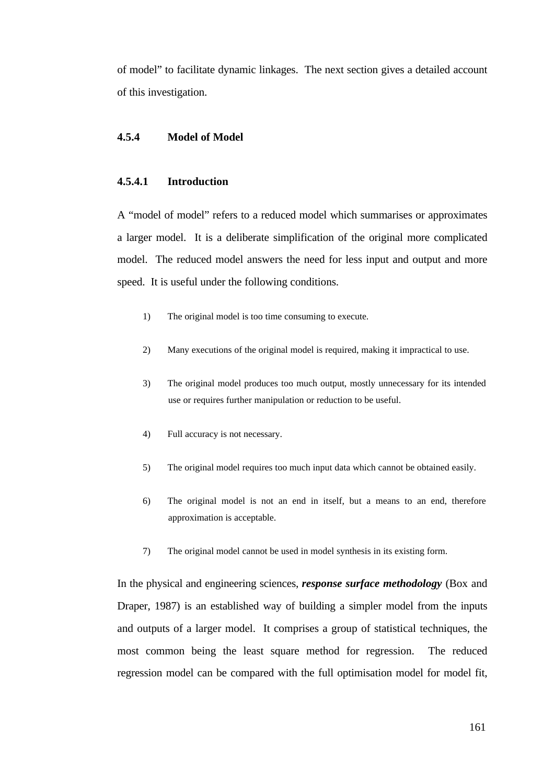of model" to facilitate dynamic linkages. The next section gives a detailed account of this investigation.

### **4.5.4 Model of Model**

## **4.5.4.1 Introduction**

A "model of model" refers to a reduced model which summarises or approximates a larger model. It is a deliberate simplification of the original more complicated model. The reduced model answers the need for less input and output and more speed. It is useful under the following conditions.

- 1) The original model is too time consuming to execute.
- 2) Many executions of the original model is required, making it impractical to use.
- 3) The original model produces too much output, mostly unnecessary for its intended use or requires further manipulation or reduction to be useful.
- 4) Full accuracy is not necessary.
- 5) The original model requires too much input data which cannot be obtained easily.
- 6) The original model is not an end in itself, but a means to an end, therefore approximation is acceptable.
- 7) The original model cannot be used in model synthesis in its existing form.

In the physical and engineering sciences, *response surface methodology* (Box and Draper, 1987) is an established way of building a simpler model from the inputs and outputs of a larger model. It comprises a group of statistical techniques, the most common being the least square method for regression. The reduced regression model can be compared with the full optimisation model for model fit,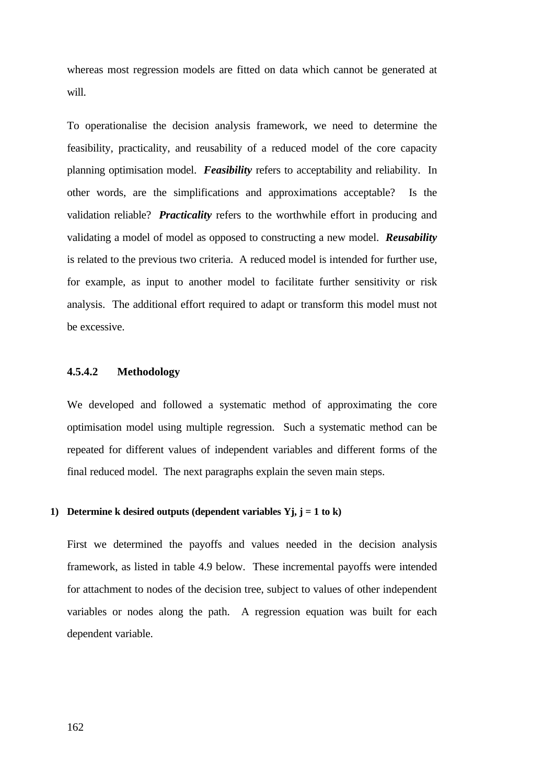whereas most regression models are fitted on data which cannot be generated at will.

To operationalise the decision analysis framework, we need to determine the feasibility, practicality, and reusability of a reduced model of the core capacity planning optimisation model. *Feasibility* refers to acceptability and reliability. In other words, are the simplifications and approximations acceptable? Is the validation reliable? *Practicality* refers to the worthwhile effort in producing and validating a model of model as opposed to constructing a new model. *Reusability* is related to the previous two criteria. A reduced model is intended for further use, for example, as input to another model to facilitate further sensitivity or risk analysis. The additional effort required to adapt or transform this model must not be excessive.

## **4.5.4.2 Methodology**

We developed and followed a systematic method of approximating the core optimisation model using multiple regression. Such a systematic method can be repeated for different values of independent variables and different forms of the final reduced model. The next paragraphs explain the seven main steps.

### **1) Determine k desired outputs (dependent variables Yj, j = 1 to k)**

First we determined the payoffs and values needed in the decision analysis framework, as listed in table 4.9 below. These incremental payoffs were intended for attachment to nodes of the decision tree, subject to values of other independent variables or nodes along the path. A regression equation was built for each dependent variable.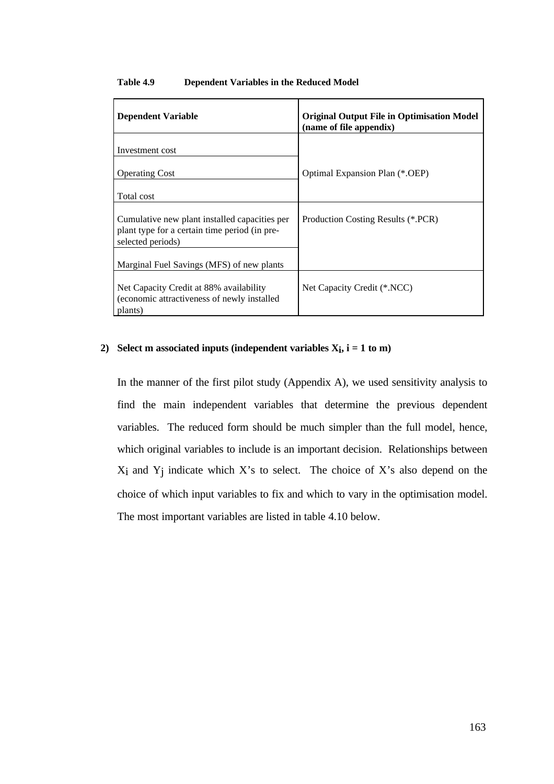#### **Table 4.9 Dependent Variables in the Reduced Model**

| <b>Dependent Variable</b>                                                                                           | <b>Original Output File in Optimisation Model</b><br>(name of file appendix) |
|---------------------------------------------------------------------------------------------------------------------|------------------------------------------------------------------------------|
| Investment cost                                                                                                     |                                                                              |
| <b>Operating Cost</b>                                                                                               | Optimal Expansion Plan (*.OEP)                                               |
| Total cost                                                                                                          |                                                                              |
| Cumulative new plant installed capacities per<br>plant type for a certain time period (in pre-<br>selected periods) | Production Costing Results (*.PCR)                                           |
| Marginal Fuel Savings (MFS) of new plants                                                                           |                                                                              |
| Net Capacity Credit at 88% availability<br>(economic attractiveness of newly installed)<br>plants)                  | Net Capacity Credit (*.NCC)                                                  |

# **2) Select m associated inputs (independent variables Xi , i = 1 to m)**

In the manner of the first pilot study (Appendix A), we used sensitivity analysis to find the main independent variables that determine the previous dependent variables. The reduced form should be much simpler than the full model, hence, which original variables to include is an important decision. Relationships between Xi and Yj indicate which X's to select. The choice of X's also depend on the choice of which input variables to fix and which to vary in the optimisation model. The most important variables are listed in table 4.10 below.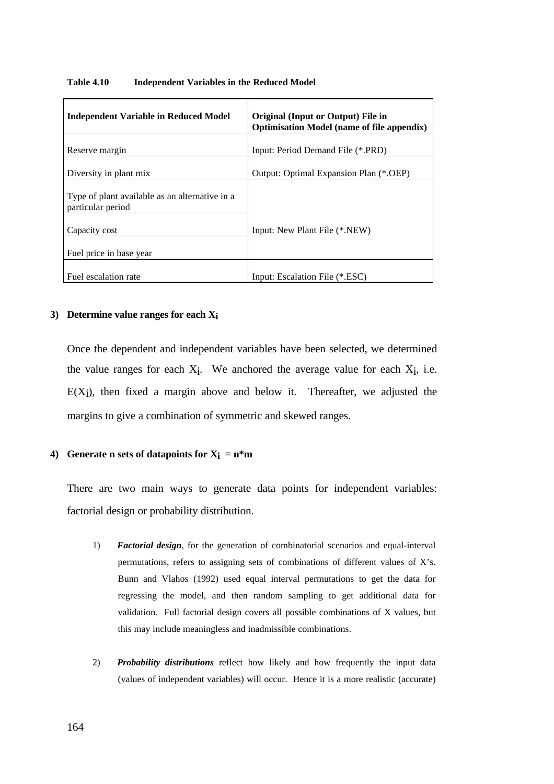| <b>Independent Variable in Reduced Model</b>                        | <b>Original (Input or Output) File in</b><br><b>Optimisation Model (name of file appendix)</b> |
|---------------------------------------------------------------------|------------------------------------------------------------------------------------------------|
| Reserve margin                                                      | Input: Period Demand File (*.PRD)                                                              |
| Diversity in plant mix                                              | Output: Optimal Expansion Plan (*.OEP)                                                         |
| Type of plant available as an alternative in a<br>particular period |                                                                                                |
| Capacity cost                                                       | Input: New Plant File (*.NEW)                                                                  |
| Fuel price in base year                                             |                                                                                                |
| Fuel escalation rate                                                | Input: Escalation File (*.ESC)                                                                 |

#### **Table 4.10 Independent Variables in the Reduced Model**

#### **3) Determine value ranges for each Xi**

Once the dependent and independent variables have been selected, we determined the value ranges for each  $X_i$ . We anchored the average value for each  $X_i$ , i.e.  $E(X_i)$ , then fixed a margin above and below it. Thereafter, we adjusted the margins to give a combination of symmetric and skewed ranges.

## **4) Generate n sets of datapoints for**  $X_i = n^*m$

There are two main ways to generate data points for independent variables: factorial design or probability distribution.

- 1) *Factorial design*, for the generation of combinatorial scenarios and equal-interval permutations, refers to assigning sets of combinations of different values of X's. Bunn and Vlahos (1992) used equal interval permutations to get the data for regressing the model, and then random sampling to get additional data for validation. Full factorial design covers all possible combinations of X values, but this may include meaningless and inadmissible combinations.
- 2) *Probability distributions* reflect how likely and how frequently the input data (values of independent variables) will occur. Hence it is a more realistic (accurate)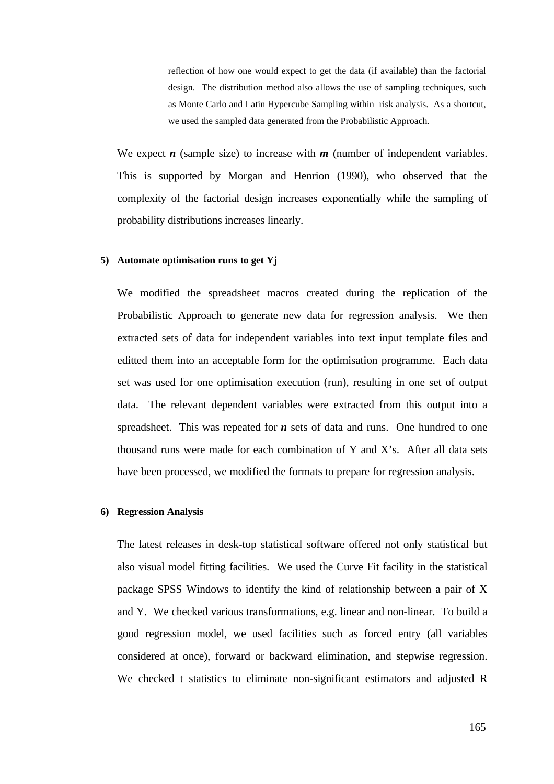reflection of how one would expect to get the data (if available) than the factorial design. The distribution method also allows the use of sampling techniques, such as Monte Carlo and Latin Hypercube Sampling within risk analysis. As a shortcut, we used the sampled data generated from the Probabilistic Approach.

We expect  $n$  (sample size) to increase with  $m$  (number of independent variables. This is supported by Morgan and Henrion (1990), who observed that the complexity of the factorial design increases exponentially while the sampling of probability distributions increases linearly.

#### **5) Automate optimisation runs to get Yj**

We modified the spreadsheet macros created during the replication of the Probabilistic Approach to generate new data for regression analysis. We then extracted sets of data for independent variables into text input template files and editted them into an acceptable form for the optimisation programme. Each data set was used for one optimisation execution (run), resulting in one set of output data. The relevant dependent variables were extracted from this output into a spreadsheet. This was repeated for *n* sets of data and runs. One hundred to one thousand runs were made for each combination of Y and X's. After all data sets have been processed, we modified the formats to prepare for regression analysis.

#### **6) Regression Analysis**

The latest releases in desk-top statistical software offered not only statistical but also visual model fitting facilities. We used the Curve Fit facility in the statistical package SPSS Windows to identify the kind of relationship between a pair of X and Y. We checked various transformations, e.g. linear and non-linear. To build a good regression model, we used facilities such as forced entry (all variables considered at once), forward or backward elimination, and stepwise regression. We checked t statistics to eliminate non-significant estimators and adjusted R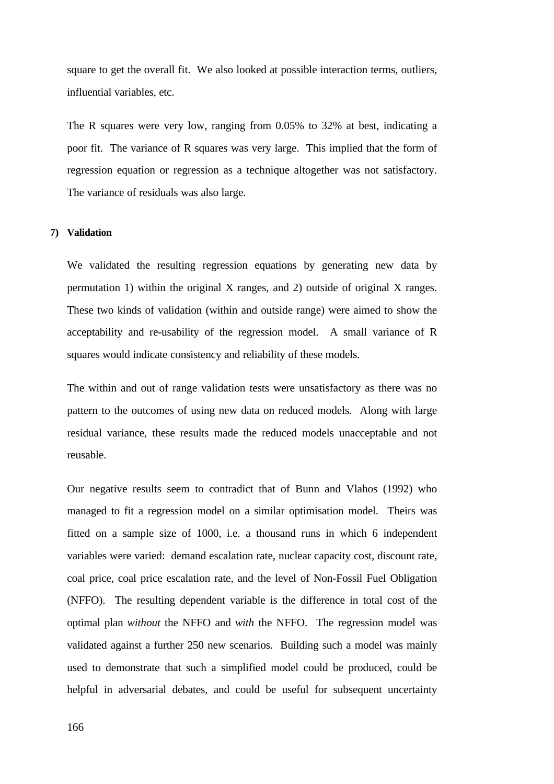square to get the overall fit. We also looked at possible interaction terms, outliers, influential variables, etc.

The R squares were very low, ranging from 0.05% to 32% at best, indicating a poor fit. The variance of R squares was very large. This implied that the form of regression equation or regression as a technique altogether was not satisfactory. The variance of residuals was also large.

#### **7) Validation**

We validated the resulting regression equations by generating new data by permutation 1) within the original X ranges, and 2) outside of original X ranges. These two kinds of validation (within and outside range) were aimed to show the acceptability and re-usability of the regression model. A small variance of R squares would indicate consistency and reliability of these models.

The within and out of range validation tests were unsatisfactory as there was no pattern to the outcomes of using new data on reduced models. Along with large residual variance, these results made the reduced models unacceptable and not reusable.

Our negative results seem to contradict that of Bunn and Vlahos (1992) who managed to fit a regression model on a similar optimisation model. Theirs was fitted on a sample size of 1000, i.e. a thousand runs in which 6 independent variables were varied: demand escalation rate, nuclear capacity cost, discount rate, coal price, coal price escalation rate, and the level of Non-Fossil Fuel Obligation (NFFO). The resulting dependent variable is the difference in total cost of the optimal plan *without* the NFFO and *with* the NFFO. The regression model was validated against a further 250 new scenarios. Building such a model was mainly used to demonstrate that such a simplified model could be produced, could be helpful in adversarial debates, and could be useful for subsequent uncertainty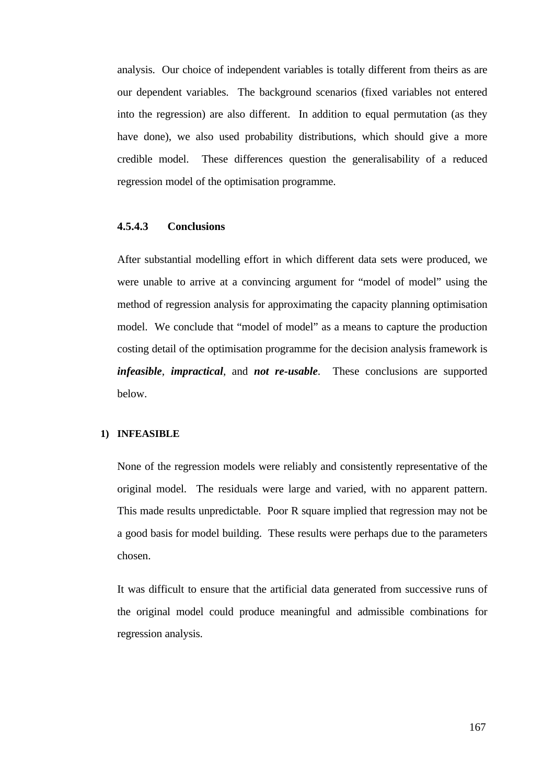analysis. Our choice of independent variables is totally different from theirs as are our dependent variables. The background scenarios (fixed variables not entered into the regression) are also different. In addition to equal permutation (as they have done), we also used probability distributions, which should give a more credible model. These differences question the generalisability of a reduced regression model of the optimisation programme.

### **4.5.4.3 Conclusions**

After substantial modelling effort in which different data sets were produced, we were unable to arrive at a convincing argument for "model of model" using the method of regression analysis for approximating the capacity planning optimisation model. We conclude that "model of model" as a means to capture the production costing detail of the optimisation programme for the decision analysis framework is *infeasible*, *impractical*, and *not re-usable*. These conclusions are supported below.

#### **1) INFEASIBLE**

None of the regression models were reliably and consistently representative of the original model. The residuals were large and varied, with no apparent pattern. This made results unpredictable. Poor R square implied that regression may not be a good basis for model building. These results were perhaps due to the parameters chosen.

It was difficult to ensure that the artificial data generated from successive runs of the original model could produce meaningful and admissible combinations for regression analysis.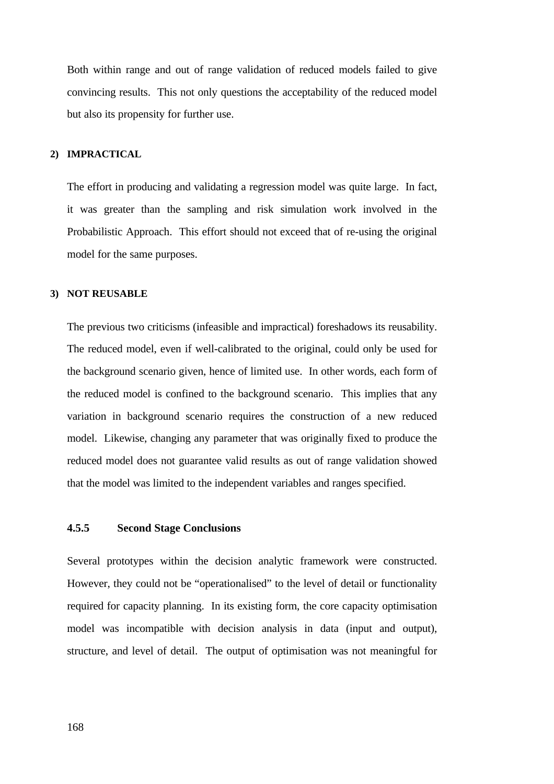Both within range and out of range validation of reduced models failed to give convincing results. This not only questions the acceptability of the reduced model but also its propensity for further use.

#### **2) IMPRACTICAL**

The effort in producing and validating a regression model was quite large. In fact, it was greater than the sampling and risk simulation work involved in the Probabilistic Approach. This effort should not exceed that of re-using the original model for the same purposes.

#### **3) NOT REUSABLE**

The previous two criticisms (infeasible and impractical) foreshadows its reusability. The reduced model, even if well-calibrated to the original, could only be used for the background scenario given, hence of limited use. In other words, each form of the reduced model is confined to the background scenario. This implies that any variation in background scenario requires the construction of a new reduced model. Likewise, changing any parameter that was originally fixed to produce the reduced model does not guarantee valid results as out of range validation showed that the model was limited to the independent variables and ranges specified.

#### **4.5.5 Second Stage Conclusions**

Several prototypes within the decision analytic framework were constructed. However, they could not be "operationalised" to the level of detail or functionality required for capacity planning. In its existing form, the core capacity optimisation model was incompatible with decision analysis in data (input and output), structure, and level of detail. The output of optimisation was not meaningful for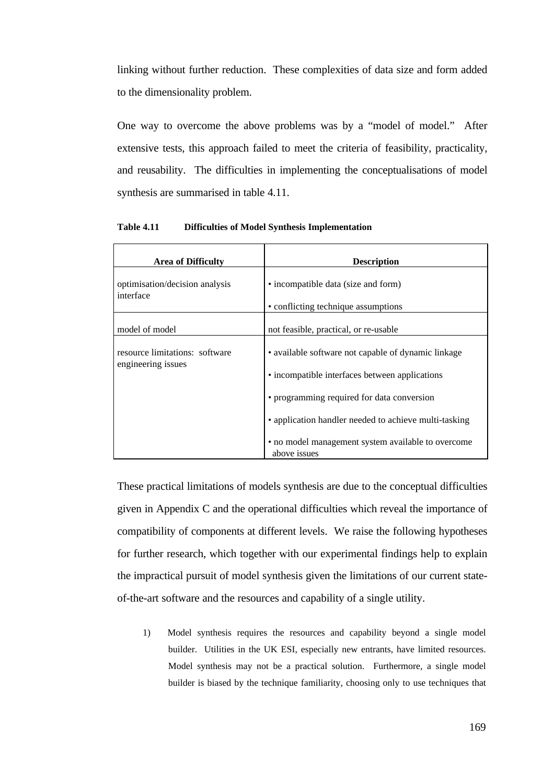linking without further reduction. These complexities of data size and form added to the dimensionality problem.

One way to overcome the above problems was by a "model of model." After extensive tests, this approach failed to meet the criteria of feasibility, practicality, and reusability. The difficulties in implementing the conceptualisations of model synthesis are summarised in table 4.11.

| <b>Area of Difficulty</b>                            | <b>Description</b>                                                 |
|------------------------------------------------------|--------------------------------------------------------------------|
| optimisation/decision analysis<br>interface          | • incompatible data (size and form)                                |
|                                                      | • conflicting technique assumptions                                |
| model of model                                       | not feasible, practical, or re-usable                              |
| resource limitations: software<br>engineering issues | • available software not capable of dynamic linkage                |
|                                                      | • incompatible interfaces between applications                     |
|                                                      | • programming required for data conversion                         |
|                                                      | • application handler needed to achieve multi-tasking              |
|                                                      | • no model management system available to overcome<br>above issues |

**Table 4.11 Difficulties of Model Synthesis Implementation**

These practical limitations of models synthesis are due to the conceptual difficulties given in Appendix C and the operational difficulties which reveal the importance of compatibility of components at different levels. We raise the following hypotheses for further research, which together with our experimental findings help to explain the impractical pursuit of model synthesis given the limitations of our current stateof-the-art software and the resources and capability of a single utility.

1) Model synthesis requires the resources and capability beyond a single model builder. Utilities in the UK ESI, especially new entrants, have limited resources. Model synthesis may not be a practical solution. Furthermore, a single model builder is biased by the technique familiarity, choosing only to use techniques that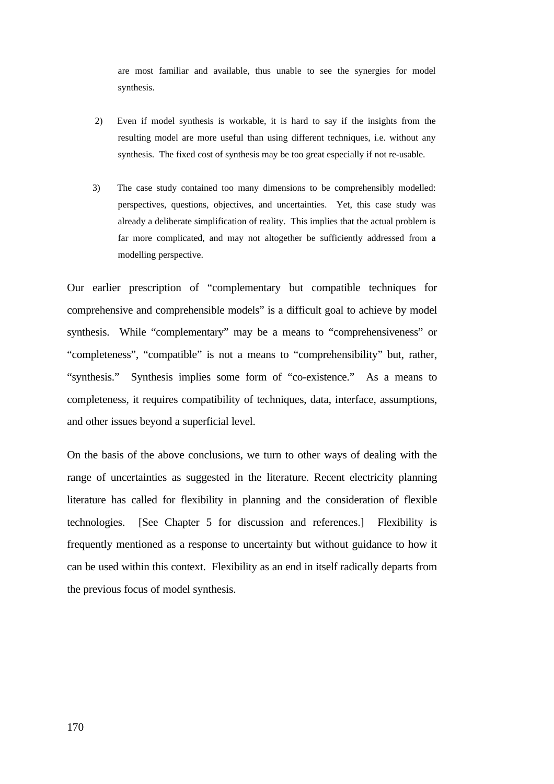are most familiar and available, thus unable to see the synergies for model synthesis.

- 2) Even if model synthesis is workable, it is hard to say if the insights from the resulting model are more useful than using different techniques, i.e. without any synthesis. The fixed cost of synthesis may be too great especially if not re-usable.
- 3) The case study contained too many dimensions to be comprehensibly modelled: perspectives, questions, objectives, and uncertainties. Yet, this case study was already a deliberate simplification of reality. This implies that the actual problem is far more complicated, and may not altogether be sufficiently addressed from a modelling perspective.

Our earlier prescription of "complementary but compatible techniques for comprehensive and comprehensible models" is a difficult goal to achieve by model synthesis. While "complementary" may be a means to "comprehensiveness" or "completeness", "compatible" is not a means to "comprehensibility" but, rather, "synthesis." Synthesis implies some form of "co-existence." As a means to completeness, it requires compatibility of techniques, data, interface, assumptions, and other issues beyond a superficial level.

On the basis of the above conclusions, we turn to other ways of dealing with the range of uncertainties as suggested in the literature. Recent electricity planning literature has called for flexibility in planning and the consideration of flexible technologies. [See Chapter 5 for discussion and references.] Flexibility is frequently mentioned as a response to uncertainty but without guidance to how it can be used within this context. Flexibility as an end in itself radically departs from the previous focus of model synthesis.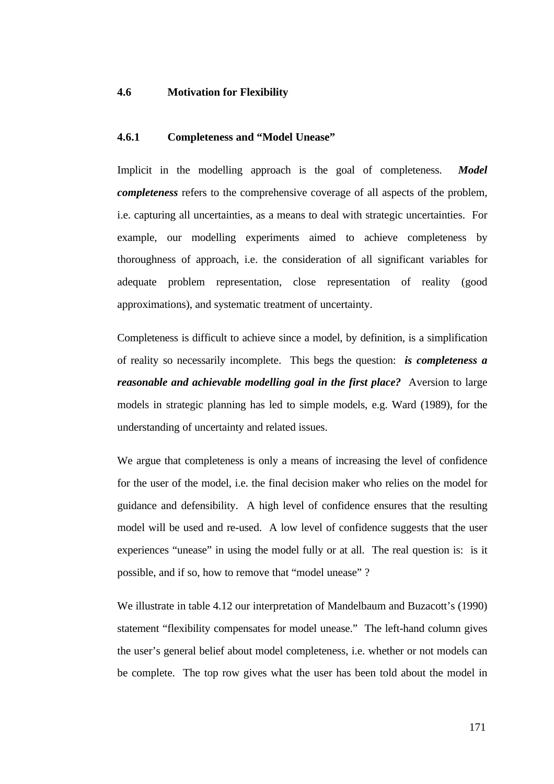## **4.6 Motivation for Flexibility**

### **4.6.1 Completeness and "Model Unease"**

Implicit in the modelling approach is the goal of completeness. *Model completeness* refers to the comprehensive coverage of all aspects of the problem, i.e. capturing all uncertainties, as a means to deal with strategic uncertainties. For example, our modelling experiments aimed to achieve completeness by thoroughness of approach, i.e. the consideration of all significant variables for adequate problem representation, close representation of reality (good approximations), and systematic treatment of uncertainty.

Completeness is difficult to achieve since a model, by definition, is a simplification of reality so necessarily incomplete. This begs the question: *is completeness a reasonable and achievable modelling goal in the first place?* Aversion to large models in strategic planning has led to simple models, e.g. Ward (1989), for the understanding of uncertainty and related issues.

We argue that completeness is only a means of increasing the level of confidence for the user of the model, i.e. the final decision maker who relies on the model for guidance and defensibility. A high level of confidence ensures that the resulting model will be used and re-used. A low level of confidence suggests that the user experiences "unease" in using the model fully or at all. The real question is: is it possible, and if so, how to remove that "model unease" ?

We illustrate in table 4.12 our interpretation of Mandelbaum and Buzacott's (1990) statement "flexibility compensates for model unease." The left-hand column gives the user's general belief about model completeness, i.e. whether or not models can be complete. The top row gives what the user has been told about the model in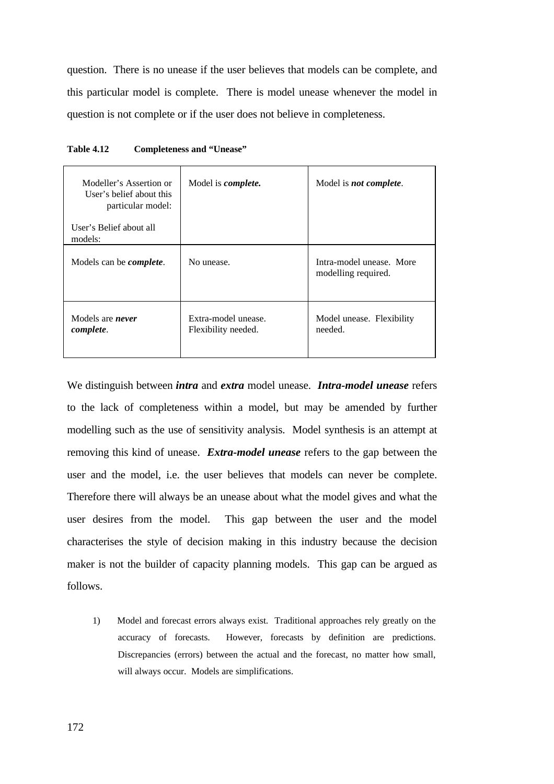question. There is no unease if the user believes that models can be complete, and this particular model is complete. There is model unease whenever the model in question is not complete or if the user does not believe in completeness.

| Modeller's Assertion or<br>User's belief about this<br>particular model:<br>User's Belief about all<br>models: | Model is <i>complete</i> .                 | Model is <i>not complete</i> .                  |
|----------------------------------------------------------------------------------------------------------------|--------------------------------------------|-------------------------------------------------|
| Models can be <i>complete</i> .                                                                                | No unease.                                 | Intra-model unease. More<br>modelling required. |
| Models are <i>never</i><br>complete.                                                                           | Extra-model unease.<br>Flexibility needed. | Model unease. Flexibility<br>needed.            |

| <b>Table 4.12</b> | <b>Completeness and "Unease"</b> |  |
|-------------------|----------------------------------|--|
|-------------------|----------------------------------|--|

We distinguish between *intra* and *extra* model unease. *Intra-model unease* refers to the lack of completeness within a model, but may be amended by further modelling such as the use of sensitivity analysis. Model synthesis is an attempt at removing this kind of unease. *Extra-model unease* refers to the gap between the user and the model, i.e. the user believes that models can never be complete. Therefore there will always be an unease about what the model gives and what the user desires from the model. This gap between the user and the model characterises the style of decision making in this industry because the decision maker is not the builder of capacity planning models. This gap can be argued as follows.

1) Model and forecast errors always exist. Traditional approaches rely greatly on the accuracy of forecasts. However, forecasts by definition are predictions. Discrepancies (errors) between the actual and the forecast, no matter how small, will always occur. Models are simplifications.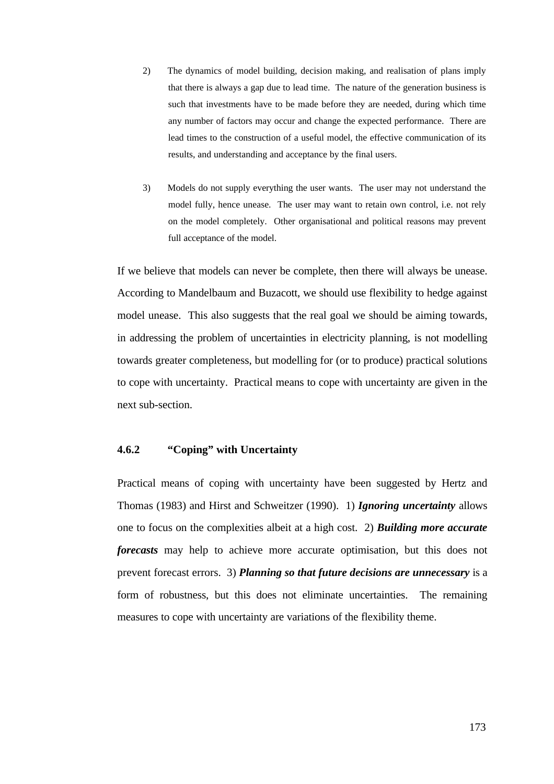- 2) The dynamics of model building, decision making, and realisation of plans imply that there is always a gap due to lead time. The nature of the generation business is such that investments have to be made before they are needed, during which time any number of factors may occur and change the expected performance. There are lead times to the construction of a useful model, the effective communication of its results, and understanding and acceptance by the final users.
- 3) Models do not supply everything the user wants. The user may not understand the model fully, hence unease. The user may want to retain own control, i.e. not rely on the model completely. Other organisational and political reasons may prevent full acceptance of the model.

If we believe that models can never be complete, then there will always be unease. According to Mandelbaum and Buzacott, we should use flexibility to hedge against model unease. This also suggests that the real goal we should be aiming towards, in addressing the problem of uncertainties in electricity planning, is not modelling towards greater completeness, but modelling for (or to produce) practical solutions to cope with uncertainty. Practical means to cope with uncertainty are given in the next sub-section.

# **4.6.2 "Coping" with Uncertainty**

Practical means of coping with uncertainty have been suggested by Hertz and Thomas (1983) and Hirst and Schweitzer (1990). 1) *Ignoring uncertainty* allows one to focus on the complexities albeit at a high cost. 2) *Building more accurate forecasts* may help to achieve more accurate optimisation, but this does not prevent forecast errors. 3) *Planning so that future decisions are unnecessary* is a form of robustness, but this does not eliminate uncertainties. The remaining measures to cope with uncertainty are variations of the flexibility theme.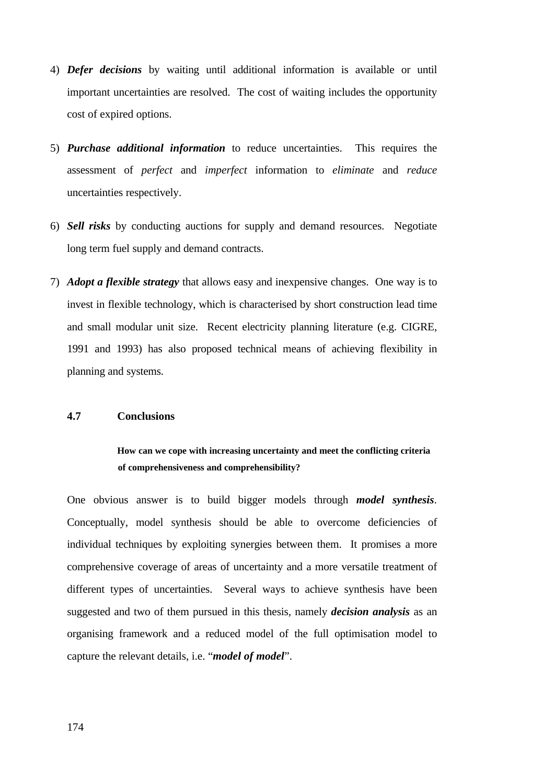- 4) *Defer decisions* by waiting until additional information is available or until important uncertainties are resolved. The cost of waiting includes the opportunity cost of expired options.
- 5) *Purchase additional information* to reduce uncertainties. This requires the assessment of *perfect* and *imperfect* information to *eliminate* and *reduce* uncertainties respectively.
- 6) *Sell risks* by conducting auctions for supply and demand resources. Negotiate long term fuel supply and demand contracts.
- 7) *Adopt a flexible strategy* that allows easy and inexpensive changes. One way is to invest in flexible technology, which is characterised by short construction lead time and small modular unit size. Recent electricity planning literature (e.g. CIGRE, 1991 and 1993) has also proposed technical means of achieving flexibility in planning and systems.

## **4.7 Conclusions**

# **How can we cope with increasing uncertainty and meet the conflicting criteria of comprehensiveness and comprehensibility?**

One obvious answer is to build bigger models through *model synthesis*. Conceptually, model synthesis should be able to overcome deficiencies of individual techniques by exploiting synergies between them. It promises a more comprehensive coverage of areas of uncertainty and a more versatile treatment of different types of uncertainties. Several ways to achieve synthesis have been suggested and two of them pursued in this thesis, namely *decision analysis* as an organising framework and a reduced model of the full optimisation model to capture the relevant details, i.e. "*model of model*".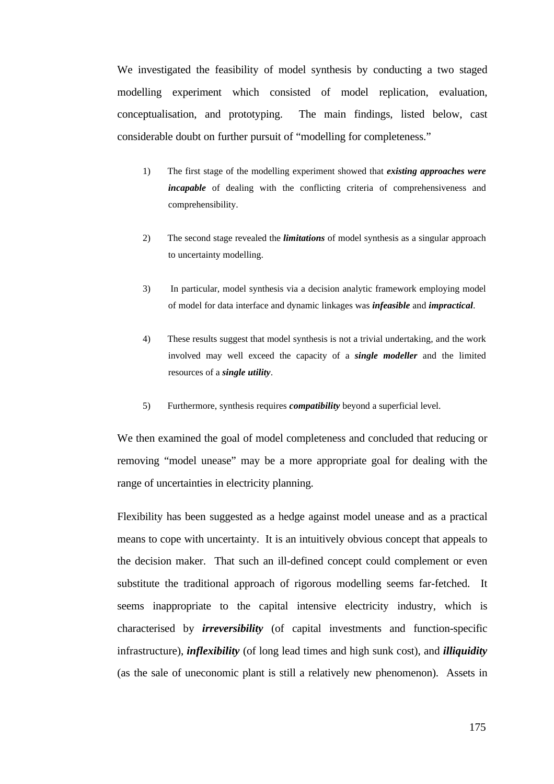We investigated the feasibility of model synthesis by conducting a two staged modelling experiment which consisted of model replication, evaluation, conceptualisation, and prototyping. The main findings, listed below, cast considerable doubt on further pursuit of "modelling for completeness."

- 1) The first stage of the modelling experiment showed that *existing approaches were incapable* of dealing with the conflicting criteria of comprehensiveness and comprehensibility.
- 2) The second stage revealed the *limitations* of model synthesis as a singular approach to uncertainty modelling.
- 3) In particular, model synthesis via a decision analytic framework employing model of model for data interface and dynamic linkages was *infeasible* and *impractical*.
- 4) These results suggest that model synthesis is not a trivial undertaking, and the work involved may well exceed the capacity of a *single modeller* and the limited resources of a *single utility*.
- 5) Furthermore, synthesis requires *compatibility* beyond a superficial level.

We then examined the goal of model completeness and concluded that reducing or removing "model unease" may be a more appropriate goal for dealing with the range of uncertainties in electricity planning.

Flexibility has been suggested as a hedge against model unease and as a practical means to cope with uncertainty. It is an intuitively obvious concept that appeals to the decision maker. That such an ill-defined concept could complement or even substitute the traditional approach of rigorous modelling seems far-fetched. It seems inappropriate to the capital intensive electricity industry, which is characterised by *irreversibility* (of capital investments and function-specific infrastructure), *inflexibility* (of long lead times and high sunk cost), and *illiquidity* (as the sale of uneconomic plant is still a relatively new phenomenon). Assets in